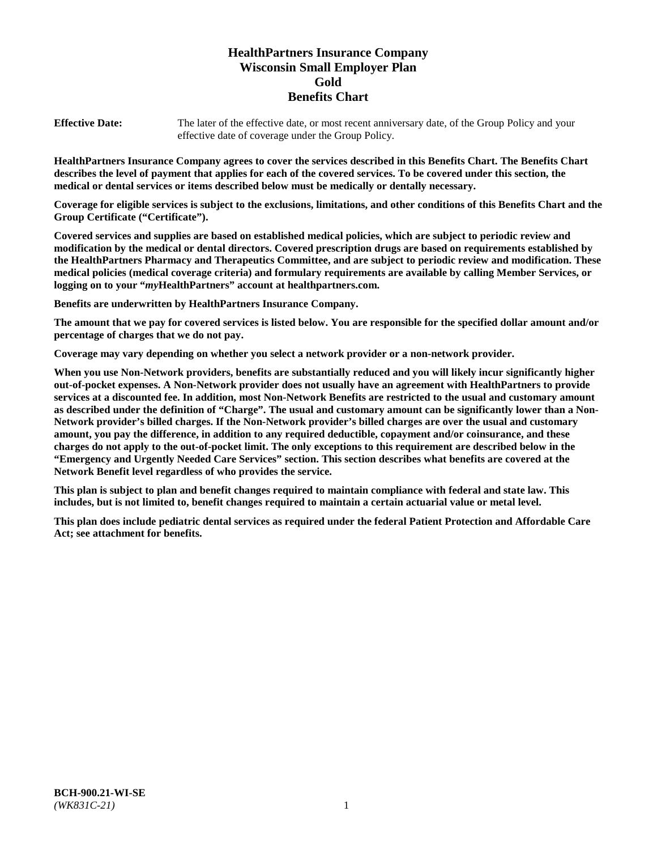# **HealthPartners Insurance Company Wisconsin Small Employer Plan Gold Benefits Chart**

**Effective Date:** The later of the effective date, or most recent anniversary date, of the Group Policy and your effective date of coverage under the Group Policy.

**HealthPartners Insurance Company agrees to cover the services described in this Benefits Chart. The Benefits Chart describes the level of payment that applies for each of the covered services. To be covered under this section, the medical or dental services or items described below must be medically or dentally necessary.**

**Coverage for eligible services is subject to the exclusions, limitations, and other conditions of this Benefits Chart and the Group Certificate ("Certificate").**

**Covered services and supplies are based on established medical policies, which are subject to periodic review and modification by the medical or dental directors. Covered prescription drugs are based on requirements established by the HealthPartners Pharmacy and Therapeutics Committee, and are subject to periodic review and modification. These medical policies (medical coverage criteria) and formulary requirements are available by calling Member Services, or logging on to your "***my***HealthPartners" account at [healthpartners.com.](https://www.healthpartners.com/hp/index.html)**

**Benefits are underwritten by HealthPartners Insurance Company.**

**The amount that we pay for covered services is listed below. You are responsible for the specified dollar amount and/or percentage of charges that we do not pay.**

**Coverage may vary depending on whether you select a network provider or a non-network provider.**

**When you use Non-Network providers, benefits are substantially reduced and you will likely incur significantly higher out-of-pocket expenses. A Non-Network provider does not usually have an agreement with HealthPartners to provide services at a discounted fee. In addition, most Non-Network Benefits are restricted to the usual and customary amount as described under the definition of "Charge". The usual and customary amount can be significantly lower than a Non-Network provider's billed charges. If the Non-Network provider's billed charges are over the usual and customary amount, you pay the difference, in addition to any required deductible, copayment and/or coinsurance, and these charges do not apply to the out-of-pocket limit. The only exceptions to this requirement are described below in the "Emergency and Urgently Needed Care Services" section. This section describes what benefits are covered at the Network Benefit level regardless of who provides the service.**

**This plan is subject to plan and benefit changes required to maintain compliance with federal and state law. This includes, but is not limited to, benefit changes required to maintain a certain actuarial value or metal level.**

**This plan does include pediatric dental services as required under the federal Patient Protection and Affordable Care Act; see attachment for benefits.**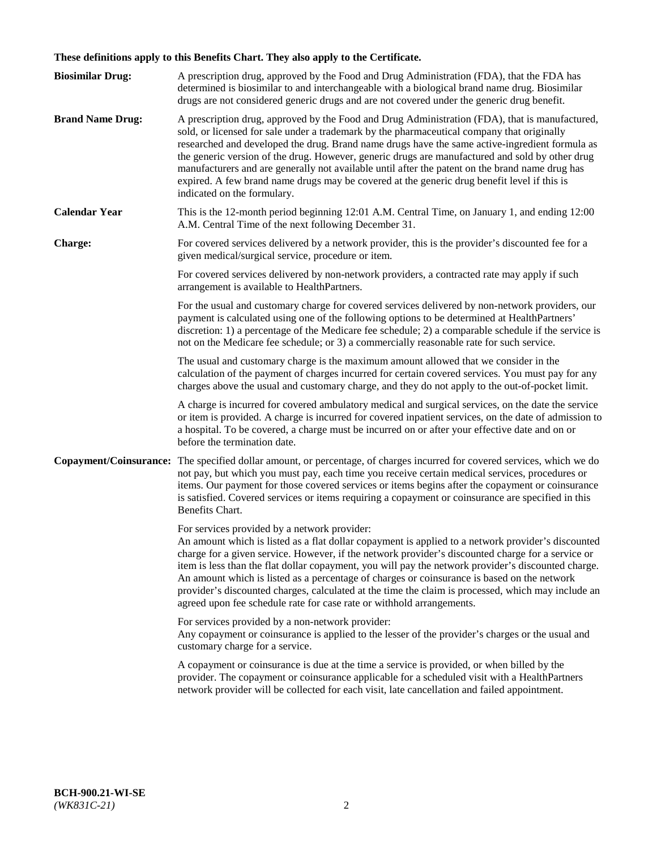# **These definitions apply to this Benefits Chart. They also apply to the Certificate.**

| <b>Biosimilar Drug:</b> | A prescription drug, approved by the Food and Drug Administration (FDA), that the FDA has<br>determined is biosimilar to and interchangeable with a biological brand name drug. Biosimilar<br>drugs are not considered generic drugs and are not covered under the generic drug benefit.                                                                                                                                                                                                                                                                                                                                                     |
|-------------------------|----------------------------------------------------------------------------------------------------------------------------------------------------------------------------------------------------------------------------------------------------------------------------------------------------------------------------------------------------------------------------------------------------------------------------------------------------------------------------------------------------------------------------------------------------------------------------------------------------------------------------------------------|
| <b>Brand Name Drug:</b> | A prescription drug, approved by the Food and Drug Administration (FDA), that is manufactured,<br>sold, or licensed for sale under a trademark by the pharmaceutical company that originally<br>researched and developed the drug. Brand name drugs have the same active-ingredient formula as<br>the generic version of the drug. However, generic drugs are manufactured and sold by other drug<br>manufacturers and are generally not available until after the patent on the brand name drug has<br>expired. A few brand name drugs may be covered at the generic drug benefit level if this is<br>indicated on the formulary.           |
| <b>Calendar Year</b>    | This is the 12-month period beginning 12:01 A.M. Central Time, on January 1, and ending 12:00<br>A.M. Central Time of the next following December 31.                                                                                                                                                                                                                                                                                                                                                                                                                                                                                        |
| <b>Charge:</b>          | For covered services delivered by a network provider, this is the provider's discounted fee for a<br>given medical/surgical service, procedure or item.                                                                                                                                                                                                                                                                                                                                                                                                                                                                                      |
|                         | For covered services delivered by non-network providers, a contracted rate may apply if such<br>arrangement is available to HealthPartners.                                                                                                                                                                                                                                                                                                                                                                                                                                                                                                  |
|                         | For the usual and customary charge for covered services delivered by non-network providers, our<br>payment is calculated using one of the following options to be determined at HealthPartners'<br>discretion: 1) a percentage of the Medicare fee schedule; 2) a comparable schedule if the service is<br>not on the Medicare fee schedule; or 3) a commercially reasonable rate for such service.                                                                                                                                                                                                                                          |
|                         | The usual and customary charge is the maximum amount allowed that we consider in the<br>calculation of the payment of charges incurred for certain covered services. You must pay for any<br>charges above the usual and customary charge, and they do not apply to the out-of-pocket limit.                                                                                                                                                                                                                                                                                                                                                 |
|                         | A charge is incurred for covered ambulatory medical and surgical services, on the date the service<br>or item is provided. A charge is incurred for covered inpatient services, on the date of admission to<br>a hospital. To be covered, a charge must be incurred on or after your effective date and on or<br>before the termination date.                                                                                                                                                                                                                                                                                                |
| Copayment/Coinsurance:  | The specified dollar amount, or percentage, of charges incurred for covered services, which we do<br>not pay, but which you must pay, each time you receive certain medical services, procedures or<br>items. Our payment for those covered services or items begins after the copayment or coinsurance<br>is satisfied. Covered services or items requiring a copayment or coinsurance are specified in this<br>Benefits Chart.                                                                                                                                                                                                             |
|                         | For services provided by a network provider:<br>An amount which is listed as a flat dollar copayment is applied to a network provider's discounted<br>charge for a given service. However, if the network provider's discounted charge for a service or<br>item is less than the flat dollar copayment, you will pay the network provider's discounted charge.<br>An amount which is listed as a percentage of charges or coinsurance is based on the network<br>provider's discounted charges, calculated at the time the claim is processed, which may include an<br>agreed upon fee schedule rate for case rate or withhold arrangements. |
|                         | For services provided by a non-network provider:<br>Any copayment or coinsurance is applied to the lesser of the provider's charges or the usual and<br>customary charge for a service.                                                                                                                                                                                                                                                                                                                                                                                                                                                      |
|                         | A copayment or coinsurance is due at the time a service is provided, or when billed by the<br>provider. The copayment or coinsurance applicable for a scheduled visit with a HealthPartners<br>network provider will be collected for each visit, late cancellation and failed appointment.                                                                                                                                                                                                                                                                                                                                                  |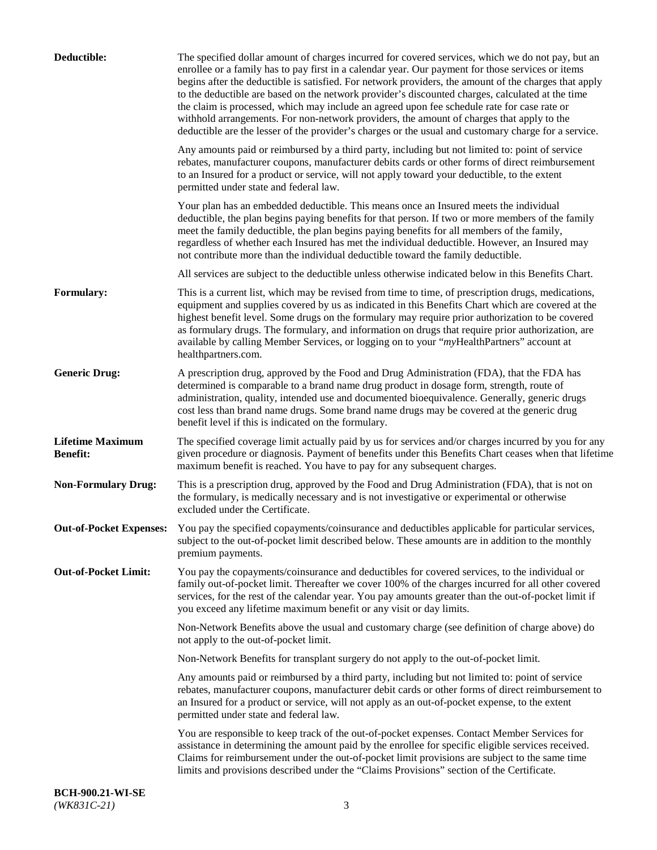| Deductible:                                | The specified dollar amount of charges incurred for covered services, which we do not pay, but an<br>enrollee or a family has to pay first in a calendar year. Our payment for those services or items<br>begins after the deductible is satisfied. For network providers, the amount of the charges that apply<br>to the deductible are based on the network provider's discounted charges, calculated at the time<br>the claim is processed, which may include an agreed upon fee schedule rate for case rate or<br>withhold arrangements. For non-network providers, the amount of charges that apply to the<br>deductible are the lesser of the provider's charges or the usual and customary charge for a service. |
|--------------------------------------------|-------------------------------------------------------------------------------------------------------------------------------------------------------------------------------------------------------------------------------------------------------------------------------------------------------------------------------------------------------------------------------------------------------------------------------------------------------------------------------------------------------------------------------------------------------------------------------------------------------------------------------------------------------------------------------------------------------------------------|
|                                            | Any amounts paid or reimbursed by a third party, including but not limited to: point of service<br>rebates, manufacturer coupons, manufacturer debits cards or other forms of direct reimbursement<br>to an Insured for a product or service, will not apply toward your deductible, to the extent<br>permitted under state and federal law.                                                                                                                                                                                                                                                                                                                                                                            |
|                                            | Your plan has an embedded deductible. This means once an Insured meets the individual<br>deductible, the plan begins paying benefits for that person. If two or more members of the family<br>meet the family deductible, the plan begins paying benefits for all members of the family,<br>regardless of whether each Insured has met the individual deductible. However, an Insured may<br>not contribute more than the individual deductible toward the family deductible.                                                                                                                                                                                                                                           |
|                                            | All services are subject to the deductible unless otherwise indicated below in this Benefits Chart.                                                                                                                                                                                                                                                                                                                                                                                                                                                                                                                                                                                                                     |
| Formulary:                                 | This is a current list, which may be revised from time to time, of prescription drugs, medications,<br>equipment and supplies covered by us as indicated in this Benefits Chart which are covered at the<br>highest benefit level. Some drugs on the formulary may require prior authorization to be covered<br>as formulary drugs. The formulary, and information on drugs that require prior authorization, are<br>available by calling Member Services, or logging on to your "myHealthPartners" account at<br>healthpartners.com.                                                                                                                                                                                   |
| <b>Generic Drug:</b>                       | A prescription drug, approved by the Food and Drug Administration (FDA), that the FDA has<br>determined is comparable to a brand name drug product in dosage form, strength, route of<br>administration, quality, intended use and documented bioequivalence. Generally, generic drugs<br>cost less than brand name drugs. Some brand name drugs may be covered at the generic drug<br>benefit level if this is indicated on the formulary.                                                                                                                                                                                                                                                                             |
| <b>Lifetime Maximum</b><br><b>Benefit:</b> | The specified coverage limit actually paid by us for services and/or charges incurred by you for any<br>given procedure or diagnosis. Payment of benefits under this Benefits Chart ceases when that lifetime<br>maximum benefit is reached. You have to pay for any subsequent charges.                                                                                                                                                                                                                                                                                                                                                                                                                                |
| <b>Non-Formulary Drug:</b>                 | This is a prescription drug, approved by the Food and Drug Administration (FDA), that is not on<br>the formulary, is medically necessary and is not investigative or experimental or otherwise<br>excluded under the Certificate.                                                                                                                                                                                                                                                                                                                                                                                                                                                                                       |
|                                            | Out-of-Pocket Expenses: You pay the specified copayments/coinsurance and deductibles applicable for particular services,<br>subject to the out-of-pocket limit described below. These amounts are in addition to the monthly<br>premium payments.                                                                                                                                                                                                                                                                                                                                                                                                                                                                       |
| <b>Out-of-Pocket Limit:</b>                | You pay the copayments/coinsurance and deductibles for covered services, to the individual or<br>family out-of-pocket limit. Thereafter we cover 100% of the charges incurred for all other covered<br>services, for the rest of the calendar year. You pay amounts greater than the out-of-pocket limit if<br>you exceed any lifetime maximum benefit or any visit or day limits.                                                                                                                                                                                                                                                                                                                                      |
|                                            | Non-Network Benefits above the usual and customary charge (see definition of charge above) do<br>not apply to the out-of-pocket limit.                                                                                                                                                                                                                                                                                                                                                                                                                                                                                                                                                                                  |
|                                            | Non-Network Benefits for transplant surgery do not apply to the out-of-pocket limit.                                                                                                                                                                                                                                                                                                                                                                                                                                                                                                                                                                                                                                    |
|                                            | Any amounts paid or reimbursed by a third party, including but not limited to: point of service<br>rebates, manufacturer coupons, manufacturer debit cards or other forms of direct reimbursement to<br>an Insured for a product or service, will not apply as an out-of-pocket expense, to the extent<br>permitted under state and federal law.                                                                                                                                                                                                                                                                                                                                                                        |
|                                            | You are responsible to keep track of the out-of-pocket expenses. Contact Member Services for<br>assistance in determining the amount paid by the enrollee for specific eligible services received.<br>Claims for reimbursement under the out-of-pocket limit provisions are subject to the same time<br>limits and provisions described under the "Claims Provisions" section of the Certificate.                                                                                                                                                                                                                                                                                                                       |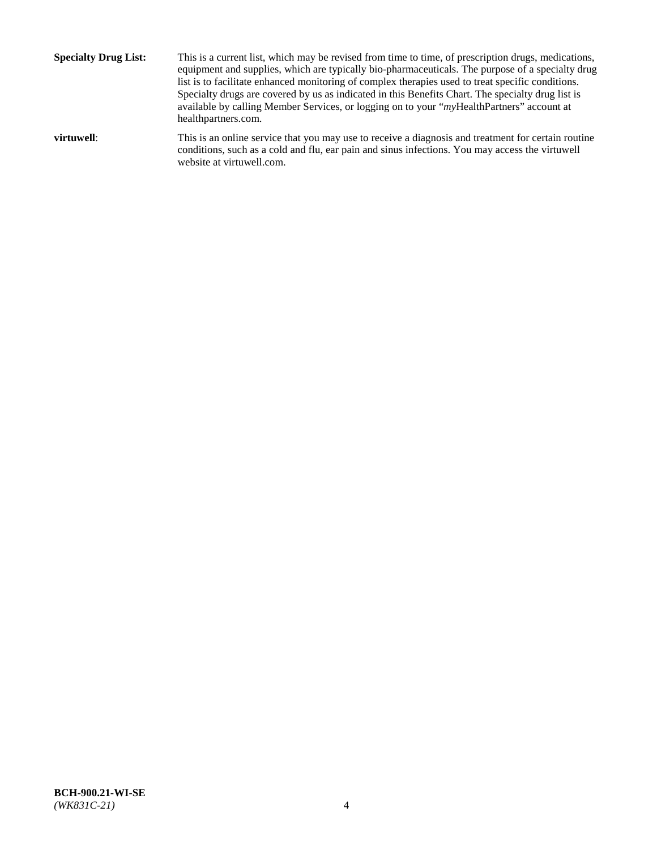**Specialty Drug List:** This is a current list, which may be revised from time to time, of prescription drugs, medications, equipment and supplies, which are typically bio-pharmaceuticals. The purpose of a specialty drug list is to facilitate enhanced monitoring of complex therapies used to treat specific conditions. Specialty drugs are covered by us as indicated in this Benefits Chart. The specialty drug list is available by calling Member Services, or logging on to your "*my*HealthPartners" account at [healthpartners.com.](http://www.healthpartners.com/) **virtuwell:** This is an online service that you may use to receive a diagnosis and treatment for certain routine conditions, such as a cold and flu, ear pain and sinus infections. You may access the virtuwell

website at [virtuwell.com.](http://www.virtuwell.com/)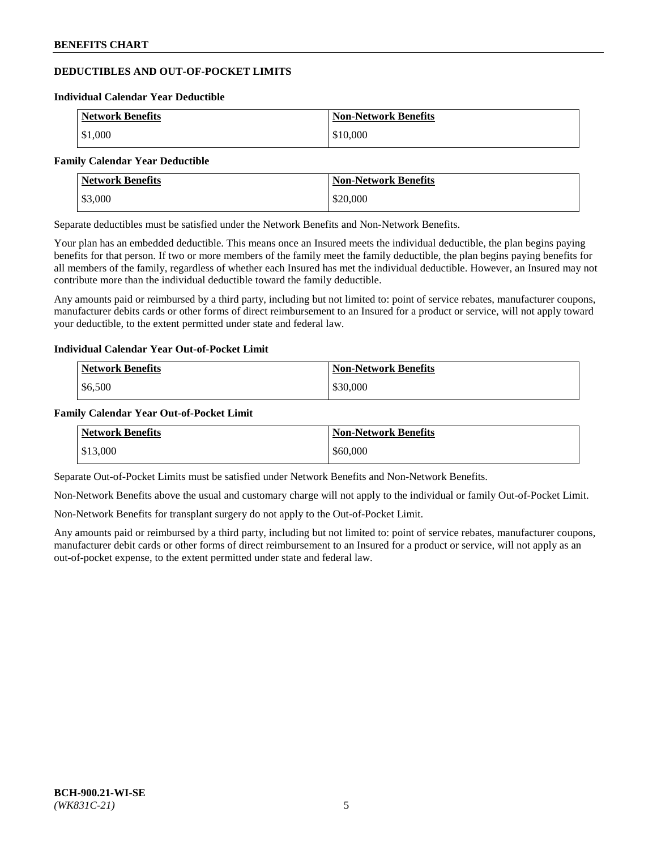# **DEDUCTIBLES AND OUT-OF-POCKET LIMITS**

#### **Individual Calendar Year Deductible**

| <b>Network Benefits</b> | <b>Non-Network Benefits</b> |
|-------------------------|-----------------------------|
| \$1,000                 | \$10,000                    |

#### **Family Calendar Year Deductible**

| <b>Network Benefits</b> | <b>Non-Network Benefits</b> |
|-------------------------|-----------------------------|
| \$3,000                 | \$20,000                    |

Separate deductibles must be satisfied under the Network Benefits and Non-Network Benefits.

Your plan has an embedded deductible. This means once an Insured meets the individual deductible, the plan begins paying benefits for that person. If two or more members of the family meet the family deductible, the plan begins paying benefits for all members of the family, regardless of whether each Insured has met the individual deductible. However, an Insured may not contribute more than the individual deductible toward the family deductible.

Any amounts paid or reimbursed by a third party, including but not limited to: point of service rebates, manufacturer coupons, manufacturer debits cards or other forms of direct reimbursement to an Insured for a product or service, will not apply toward your deductible, to the extent permitted under state and federal law.

#### **Individual Calendar Year Out-of-Pocket Limit**

| <b>Network Benefits</b> | <b>Non-Network Benefits</b> |
|-------------------------|-----------------------------|
| \$6,500                 | \$30,000                    |

#### **Family Calendar Year Out-of-Pocket Limit**

| <b>Network Benefits</b> | Non-Network Benefits |
|-------------------------|----------------------|
| \$13,000                | \$60,000             |

Separate Out-of-Pocket Limits must be satisfied under Network Benefits and Non-Network Benefits.

Non-Network Benefits above the usual and customary charge will not apply to the individual or family Out-of-Pocket Limit.

Non-Network Benefits for transplant surgery do not apply to the Out-of-Pocket Limit.

Any amounts paid or reimbursed by a third party, including but not limited to: point of service rebates, manufacturer coupons, manufacturer debit cards or other forms of direct reimbursement to an Insured for a product or service, will not apply as an out-of-pocket expense, to the extent permitted under state and federal law.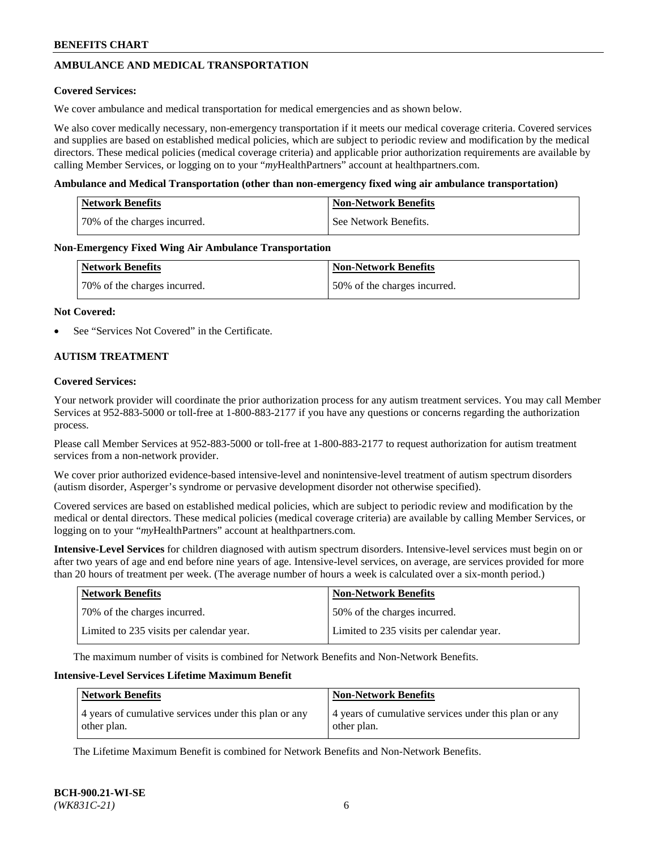# **AMBULANCE AND MEDICAL TRANSPORTATION**

### **Covered Services:**

We cover ambulance and medical transportation for medical emergencies and as shown below.

We also cover medically necessary, non-emergency transportation if it meets our medical coverage criteria. Covered services and supplies are based on established medical policies, which are subject to periodic review and modification by the medical directors. These medical policies (medical coverage criteria) and applicable prior authorization requirements are available by calling Member Services, or logging on to your "*my*HealthPartners" account a[t healthpartners.com.](https://www.healthpartners.com/hp/index.html)

### **Ambulance and Medical Transportation (other than non-emergency fixed wing air ambulance transportation)**

| <b>Network Benefits</b>      | <b>Non-Network Benefits</b> |
|------------------------------|-----------------------------|
| 70% of the charges incurred. | See Network Benefits.       |

### **Non-Emergency Fixed Wing Air Ambulance Transportation**

| <b>Network Benefits</b>      | <b>Non-Network Benefits</b>  |
|------------------------------|------------------------------|
| 70% of the charges incurred. | 50% of the charges incurred. |

### **Not Covered:**

See "Services Not Covered" in the Certificate.

# **AUTISM TREATMENT**

### **Covered Services:**

Your network provider will coordinate the prior authorization process for any autism treatment services. You may call Member Services at 952-883-5000 or toll-free at 1-800-883-2177 if you have any questions or concerns regarding the authorization process.

Please call Member Services at 952-883-5000 or toll-free at 1-800-883-2177 to request authorization for autism treatment services from a non-network provider.

We cover prior authorized evidence-based intensive-level and nonintensive-level treatment of autism spectrum disorders (autism disorder, Asperger's syndrome or pervasive development disorder not otherwise specified).

Covered services are based on established medical policies, which are subject to periodic review and modification by the medical or dental directors. These medical policies (medical coverage criteria) are available by calling Member Services, or logging on to your "*my*HealthPartners" account at [healthpartners.com.](https://www.healthpartners.com/hp/index.html)

**Intensive-Level Services** for children diagnosed with autism spectrum disorders. Intensive-level services must begin on or after two years of age and end before nine years of age. Intensive-level services, on average, are services provided for more than 20 hours of treatment per week. (The average number of hours a week is calculated over a six-month period.)

| Network Benefits                         | <b>Non-Network Benefits</b>              |
|------------------------------------------|------------------------------------------|
| 70% of the charges incurred.             | 50% of the charges incurred.             |
| Limited to 235 visits per calendar year. | Limited to 235 visits per calendar year. |

The maximum number of visits is combined for Network Benefits and Non-Network Benefits.

### **Intensive-Level Services Lifetime Maximum Benefit**

| <b>Network Benefits</b>                                              | <b>Non-Network Benefits</b>                                          |
|----------------------------------------------------------------------|----------------------------------------------------------------------|
| 4 years of cumulative services under this plan or any<br>other plan. | 4 years of cumulative services under this plan or any<br>other plan. |

The Lifetime Maximum Benefit is combined for Network Benefits and Non-Network Benefits.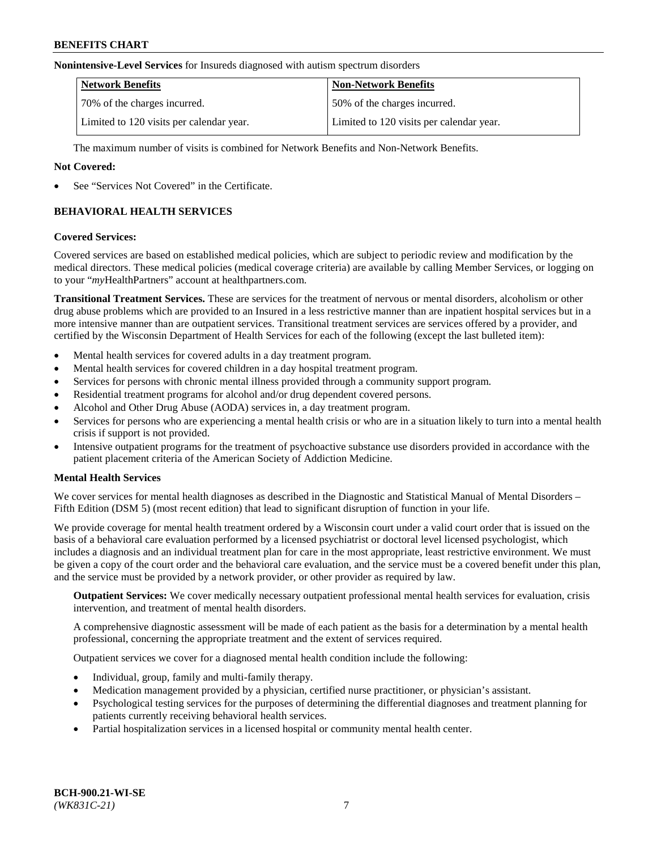### **Nonintensive-Level Services** for Insureds diagnosed with autism spectrum disorders

| <b>Network Benefits</b>                  | <b>Non-Network Benefits</b>              |
|------------------------------------------|------------------------------------------|
| 70% of the charges incurred.             | 50% of the charges incurred.             |
| Limited to 120 visits per calendar year. | Limited to 120 visits per calendar year. |

The maximum number of visits is combined for Network Benefits and Non-Network Benefits.

### **Not Covered:**

See "Services Not Covered" in the Certificate.

# **BEHAVIORAL HEALTH SERVICES**

### **Covered Services:**

Covered services are based on established medical policies, which are subject to periodic review and modification by the medical directors. These medical policies (medical coverage criteria) are available by calling Member Services, or logging on to your "*my*HealthPartners" account at [healthpartners.com.](https://www.healthpartners.com/hp/index.html)

**Transitional Treatment Services.** These are services for the treatment of nervous or mental disorders, alcoholism or other drug abuse problems which are provided to an Insured in a less restrictive manner than are inpatient hospital services but in a more intensive manner than are outpatient services. Transitional treatment services are services offered by a provider, and certified by the Wisconsin Department of Health Services for each of the following (except the last bulleted item):

- Mental health services for covered adults in a day treatment program.
- Mental health services for covered children in a day hospital treatment program.
- Services for persons with chronic mental illness provided through a community support program.
- Residential treatment programs for alcohol and/or drug dependent covered persons.
- Alcohol and Other Drug Abuse (AODA) services in, a day treatment program.
- Services for persons who are experiencing a mental health crisis or who are in a situation likely to turn into a mental health crisis if support is not provided.
- Intensive outpatient programs for the treatment of psychoactive substance use disorders provided in accordance with the patient placement criteria of the American Society of Addiction Medicine.

#### **Mental Health Services**

We cover services for mental health diagnoses as described in the Diagnostic and Statistical Manual of Mental Disorders – Fifth Edition (DSM 5) (most recent edition) that lead to significant disruption of function in your life.

We provide coverage for mental health treatment ordered by a Wisconsin court under a valid court order that is issued on the basis of a behavioral care evaluation performed by a licensed psychiatrist or doctoral level licensed psychologist, which includes a diagnosis and an individual treatment plan for care in the most appropriate, least restrictive environment. We must be given a copy of the court order and the behavioral care evaluation, and the service must be a covered benefit under this plan, and the service must be provided by a network provider, or other provider as required by law.

**Outpatient Services:** We cover medically necessary outpatient professional mental health services for evaluation, crisis intervention, and treatment of mental health disorders.

A comprehensive diagnostic assessment will be made of each patient as the basis for a determination by a mental health professional, concerning the appropriate treatment and the extent of services required.

Outpatient services we cover for a diagnosed mental health condition include the following:

- Individual, group, family and multi-family therapy.
- Medication management provided by a physician, certified nurse practitioner, or physician's assistant.
- Psychological testing services for the purposes of determining the differential diagnoses and treatment planning for patients currently receiving behavioral health services.
- Partial hospitalization services in a licensed hospital or community mental health center.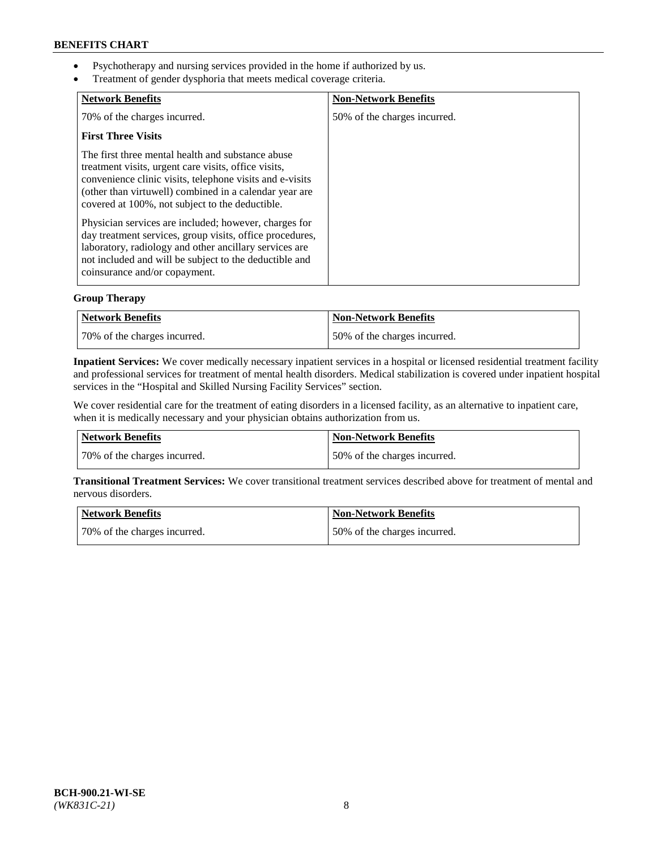- Psychotherapy and nursing services provided in the home if authorized by us.
- Treatment of gender dysphoria that meets medical coverage criteria.

| <b>Network Benefits</b>                                                                                                                                                                                                                                                            | <b>Non-Network Benefits</b>  |
|------------------------------------------------------------------------------------------------------------------------------------------------------------------------------------------------------------------------------------------------------------------------------------|------------------------------|
| 70% of the charges incurred.                                                                                                                                                                                                                                                       | 50% of the charges incurred. |
| <b>First Three Visits</b>                                                                                                                                                                                                                                                          |                              |
| The first three mental health and substance abuse<br>treatment visits, urgent care visits, office visits,<br>convenience clinic visits, telephone visits and e-visits<br>(other than virtuwell) combined in a calendar year are<br>covered at 100%, not subject to the deductible. |                              |
| Physician services are included; however, charges for<br>day treatment services, group visits, office procedures,<br>laboratory, radiology and other ancillary services are<br>not included and will be subject to the deductible and<br>coinsurance and/or copayment.             |                              |

# **Group Therapy**

| Network Benefits             | Non-Network Benefits         |
|------------------------------|------------------------------|
| 70% of the charges incurred. | 50% of the charges incurred. |

**Inpatient Services:** We cover medically necessary inpatient services in a hospital or licensed residential treatment facility and professional services for treatment of mental health disorders. Medical stabilization is covered under inpatient hospital services in the "Hospital and Skilled Nursing Facility Services" section.

We cover residential care for the treatment of eating disorders in a licensed facility, as an alternative to inpatient care, when it is medically necessary and your physician obtains authorization from us.

| Network Benefits             | <b>Non-Network Benefits</b>  |
|------------------------------|------------------------------|
| 70% of the charges incurred. | 50% of the charges incurred. |

**Transitional Treatment Services:** We cover transitional treatment services described above for treatment of mental and nervous disorders.

| Network Benefits             | Non-Network Benefits         |
|------------------------------|------------------------------|
| 70% of the charges incurred. | 50% of the charges incurred. |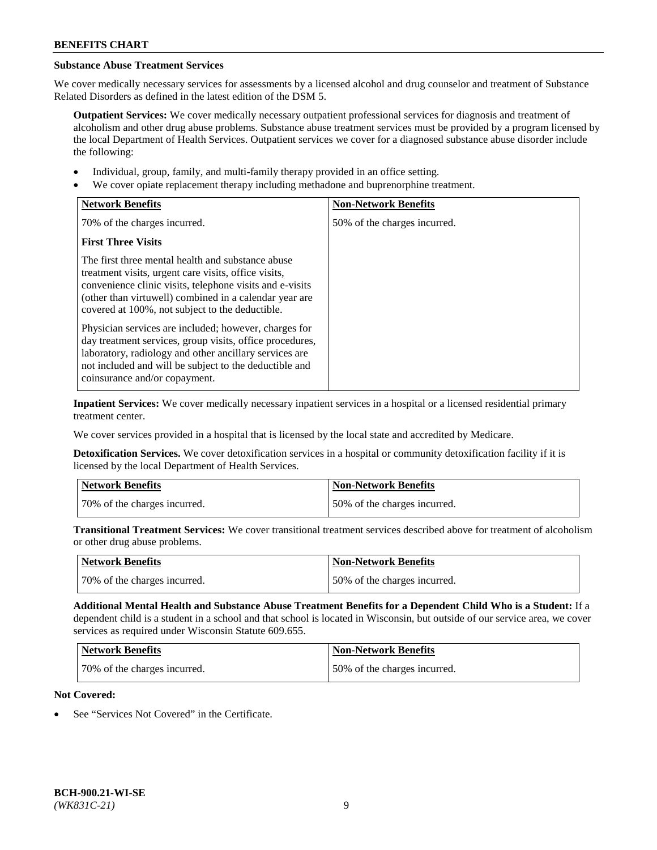# **Substance Abuse Treatment Services**

We cover medically necessary services for assessments by a licensed alcohol and drug counselor and treatment of Substance Related Disorders as defined in the latest edition of the DSM 5.

**Outpatient Services:** We cover medically necessary outpatient professional services for diagnosis and treatment of alcoholism and other drug abuse problems. Substance abuse treatment services must be provided by a program licensed by the local Department of Health Services. Outpatient services we cover for a diagnosed substance abuse disorder include the following:

- Individual, group, family, and multi-family therapy provided in an office setting.
- We cover opiate replacement therapy including methadone and buprenorphine treatment.

| <b>Network Benefits</b>                                                                                                                                                                                                                                                            | <b>Non-Network Benefits</b>  |
|------------------------------------------------------------------------------------------------------------------------------------------------------------------------------------------------------------------------------------------------------------------------------------|------------------------------|
| 70% of the charges incurred.                                                                                                                                                                                                                                                       | 50% of the charges incurred. |
| <b>First Three Visits</b>                                                                                                                                                                                                                                                          |                              |
| The first three mental health and substance abuse<br>treatment visits, urgent care visits, office visits,<br>convenience clinic visits, telephone visits and e-visits<br>(other than virtuwell) combined in a calendar year are<br>covered at 100%, not subject to the deductible. |                              |
| Physician services are included; however, charges for<br>day treatment services, group visits, office procedures,<br>laboratory, radiology and other ancillary services are<br>not included and will be subject to the deductible and<br>coinsurance and/or copayment.             |                              |

**Inpatient Services:** We cover medically necessary inpatient services in a hospital or a licensed residential primary treatment center.

We cover services provided in a hospital that is licensed by the local state and accredited by Medicare.

**Detoxification Services.** We cover detoxification services in a hospital or community detoxification facility if it is licensed by the local Department of Health Services.

| Network Benefits             | <b>Non-Network Benefits</b>  |
|------------------------------|------------------------------|
| 70% of the charges incurred. | 50% of the charges incurred. |

**Transitional Treatment Services:** We cover transitional treatment services described above for treatment of alcoholism or other drug abuse problems.

| <b>Network Benefits</b>      | Non-Network Benefits         |
|------------------------------|------------------------------|
| 70% of the charges incurred. | 50% of the charges incurred. |

**Additional Mental Health and Substance Abuse Treatment Benefits for a Dependent Child Who is a Student:** If a dependent child is a student in a school and that school is located in Wisconsin, but outside of our service area, we cover services as required under Wisconsin Statute 609.655.

| Network Benefits             | <b>Non-Network Benefits</b>  |
|------------------------------|------------------------------|
| 70% of the charges incurred. | 50% of the charges incurred. |

# **Not Covered:**

See "Services Not Covered" in the Certificate.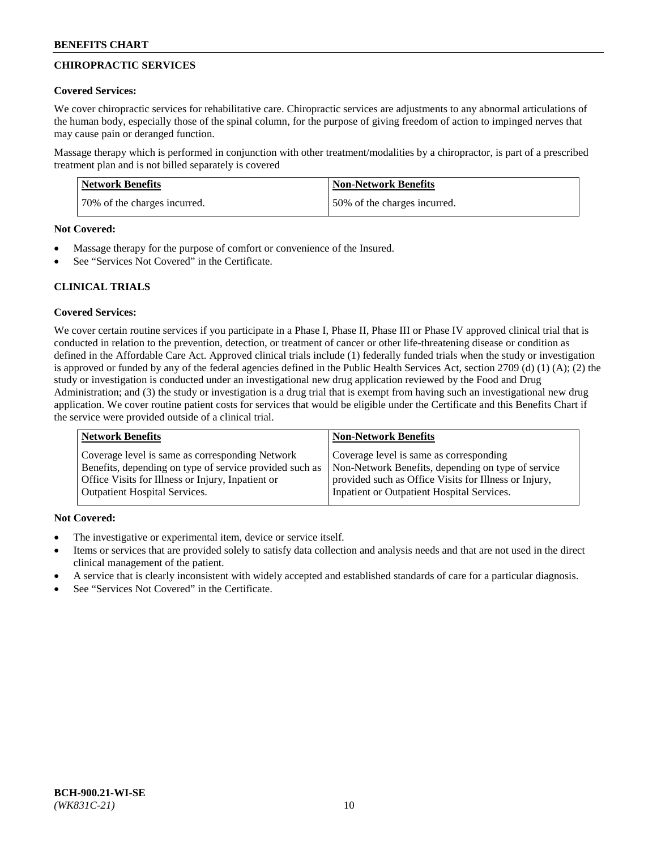# **CHIROPRACTIC SERVICES**

### **Covered Services:**

We cover chiropractic services for rehabilitative care. Chiropractic services are adjustments to any abnormal articulations of the human body, especially those of the spinal column, for the purpose of giving freedom of action to impinged nerves that may cause pain or deranged function.

Massage therapy which is performed in conjunction with other treatment/modalities by a chiropractor, is part of a prescribed treatment plan and is not billed separately is covered

| <b>Network Benefits</b>      | <b>Non-Network Benefits</b>  |
|------------------------------|------------------------------|
| 70% of the charges incurred. | 50% of the charges incurred. |

#### **Not Covered:**

- Massage therapy for the purpose of comfort or convenience of the Insured.
- See "Services Not Covered" in the Certificate.

# **CLINICAL TRIALS**

# **Covered Services:**

We cover certain routine services if you participate in a Phase I, Phase II, Phase III or Phase IV approved clinical trial that is conducted in relation to the prevention, detection, or treatment of cancer or other life-threatening disease or condition as defined in the Affordable Care Act. Approved clinical trials include (1) federally funded trials when the study or investigation is approved or funded by any of the federal agencies defined in the Public Health Services Act, section 2709 (d) (1) (A); (2) the study or investigation is conducted under an investigational new drug application reviewed by the Food and Drug Administration; and (3) the study or investigation is a drug trial that is exempt from having such an investigational new drug application. We cover routine patient costs for services that would be eligible under the Certificate and this Benefits Chart if the service were provided outside of a clinical trial.

| <b>Network Benefits</b>                                 | <b>Non-Network Benefits</b>                           |
|---------------------------------------------------------|-------------------------------------------------------|
| Coverage level is same as corresponding Network         | Coverage level is same as corresponding               |
| Benefits, depending on type of service provided such as | Non-Network Benefits, depending on type of service    |
| Office Visits for Illness or Injury, Inpatient or       | provided such as Office Visits for Illness or Injury, |
| <b>Outpatient Hospital Services.</b>                    | Inpatient or Outpatient Hospital Services.            |

# **Not Covered:**

- The investigative or experimental item, device or service itself.
- Items or services that are provided solely to satisfy data collection and analysis needs and that are not used in the direct clinical management of the patient.
- A service that is clearly inconsistent with widely accepted and established standards of care for a particular diagnosis.
- See "Services Not Covered" in the Certificate.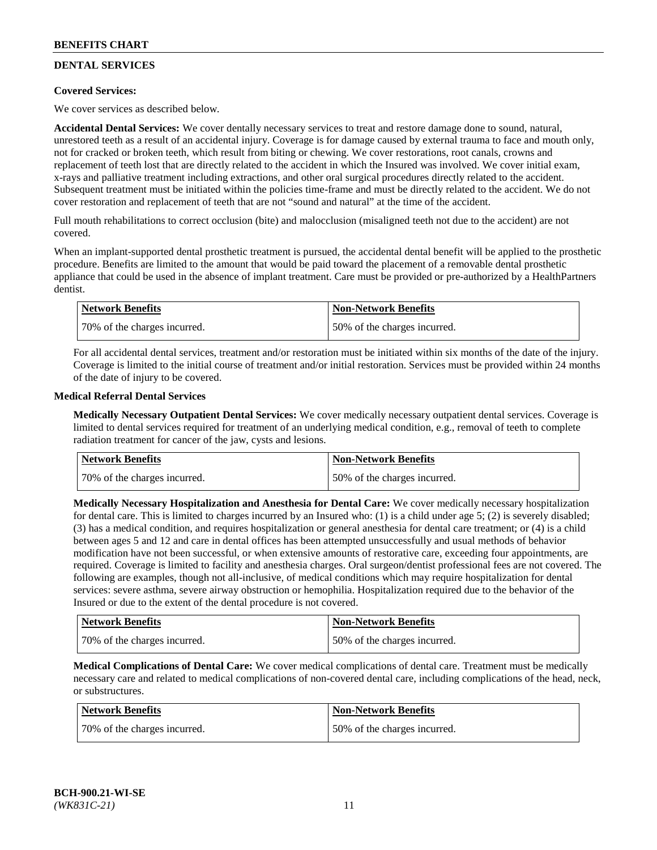# **DENTAL SERVICES**

# **Covered Services:**

We cover services as described below.

**Accidental Dental Services:** We cover dentally necessary services to treat and restore damage done to sound, natural, unrestored teeth as a result of an accidental injury. Coverage is for damage caused by external trauma to face and mouth only, not for cracked or broken teeth, which result from biting or chewing. We cover restorations, root canals, crowns and replacement of teeth lost that are directly related to the accident in which the Insured was involved. We cover initial exam, x-rays and palliative treatment including extractions, and other oral surgical procedures directly related to the accident. Subsequent treatment must be initiated within the policies time-frame and must be directly related to the accident. We do not cover restoration and replacement of teeth that are not "sound and natural" at the time of the accident.

Full mouth rehabilitations to correct occlusion (bite) and malocclusion (misaligned teeth not due to the accident) are not covered.

When an implant-supported dental prosthetic treatment is pursued, the accidental dental benefit will be applied to the prosthetic procedure. Benefits are limited to the amount that would be paid toward the placement of a removable dental prosthetic appliance that could be used in the absence of implant treatment. Care must be provided or pre-authorized by a HealthPartners dentist.

| Network Benefits             | <b>Non-Network Benefits</b>  |
|------------------------------|------------------------------|
| 70% of the charges incurred. | 50% of the charges incurred. |

For all accidental dental services, treatment and/or restoration must be initiated within six months of the date of the injury. Coverage is limited to the initial course of treatment and/or initial restoration. Services must be provided within 24 months of the date of injury to be covered.

### **Medical Referral Dental Services**

**Medically Necessary Outpatient Dental Services:** We cover medically necessary outpatient dental services. Coverage is limited to dental services required for treatment of an underlying medical condition, e.g., removal of teeth to complete radiation treatment for cancer of the jaw, cysts and lesions.

| <b>Network Benefits</b>      | <b>Non-Network Benefits</b>  |
|------------------------------|------------------------------|
| 70% of the charges incurred. | 50% of the charges incurred. |

**Medically Necessary Hospitalization and Anesthesia for Dental Care:** We cover medically necessary hospitalization for dental care. This is limited to charges incurred by an Insured who: (1) is a child under age  $5$ ; (2) is severely disabled; (3) has a medical condition, and requires hospitalization or general anesthesia for dental care treatment; or (4) is a child between ages 5 and 12 and care in dental offices has been attempted unsuccessfully and usual methods of behavior modification have not been successful, or when extensive amounts of restorative care, exceeding four appointments, are required. Coverage is limited to facility and anesthesia charges. Oral surgeon/dentist professional fees are not covered. The following are examples, though not all-inclusive, of medical conditions which may require hospitalization for dental services: severe asthma, severe airway obstruction or hemophilia. Hospitalization required due to the behavior of the Insured or due to the extent of the dental procedure is not covered.

| Network Benefits             | <b>Non-Network Benefits</b>  |
|------------------------------|------------------------------|
| 70% of the charges incurred. | 50% of the charges incurred. |

**Medical Complications of Dental Care:** We cover medical complications of dental care. Treatment must be medically necessary care and related to medical complications of non-covered dental care, including complications of the head, neck, or substructures.

| Network Benefits             | <b>Non-Network Benefits</b>  |
|------------------------------|------------------------------|
| 70% of the charges incurred. | 50% of the charges incurred. |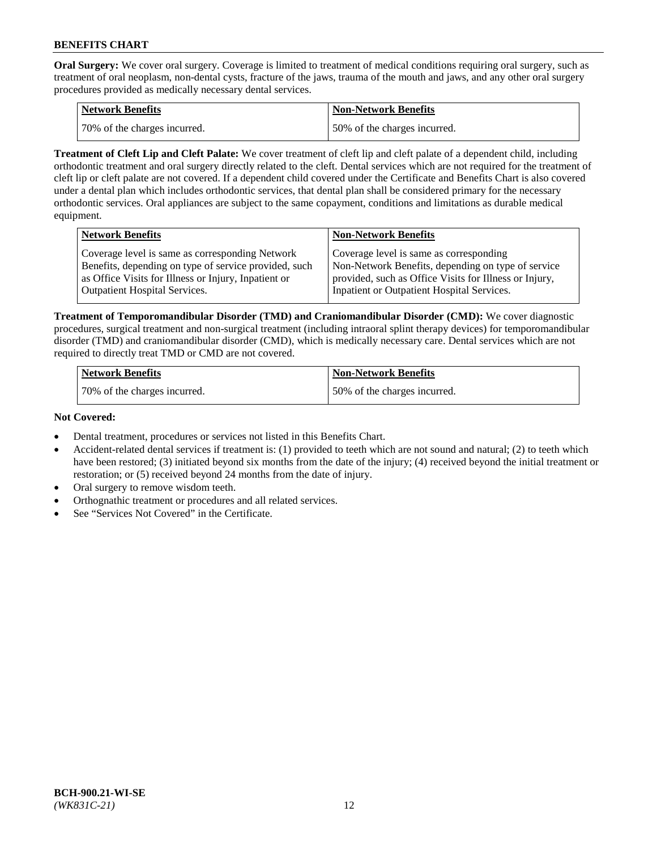**Oral Surgery:** We cover oral surgery. Coverage is limited to treatment of medical conditions requiring oral surgery, such as treatment of oral neoplasm, non-dental cysts, fracture of the jaws, trauma of the mouth and jaws, and any other oral surgery procedures provided as medically necessary dental services.

| <b>Network Benefits</b>      | <b>Non-Network Benefits</b>  |
|------------------------------|------------------------------|
| 70% of the charges incurred. | 50% of the charges incurred. |

**Treatment of Cleft Lip and Cleft Palate:** We cover treatment of cleft lip and cleft palate of a dependent child, including orthodontic treatment and oral surgery directly related to the cleft. Dental services which are not required for the treatment of cleft lip or cleft palate are not covered. If a dependent child covered under the Certificate and Benefits Chart is also covered under a dental plan which includes orthodontic services, that dental plan shall be considered primary for the necessary orthodontic services. Oral appliances are subject to the same copayment, conditions and limitations as durable medical equipment.

| <b>Network Benefits</b>                               | <b>Non-Network Benefits</b>                            |
|-------------------------------------------------------|--------------------------------------------------------|
| Coverage level is same as corresponding Network       | Coverage level is same as corresponding                |
| Benefits, depending on type of service provided, such | Non-Network Benefits, depending on type of service     |
| as Office Visits for Illness or Injury, Inpatient or  | provided, such as Office Visits for Illness or Injury, |
| Outpatient Hospital Services.                         | Inpatient or Outpatient Hospital Services.             |

**Treatment of Temporomandibular Disorder (TMD) and Craniomandibular Disorder (CMD):** We cover diagnostic procedures, surgical treatment and non-surgical treatment (including intraoral splint therapy devices) for temporomandibular disorder (TMD) and craniomandibular disorder (CMD), which is medically necessary care. Dental services which are not required to directly treat TMD or CMD are not covered.

| <b>Network Benefits</b>      | <b>Non-Network Benefits</b>  |
|------------------------------|------------------------------|
| 70% of the charges incurred. | 50% of the charges incurred. |

### **Not Covered:**

- Dental treatment, procedures or services not listed in this Benefits Chart.
- Accident-related dental services if treatment is: (1) provided to teeth which are not sound and natural; (2) to teeth which have been restored; (3) initiated beyond six months from the date of the injury; (4) received beyond the initial treatment or restoration; or (5) received beyond 24 months from the date of injury.
- Oral surgery to remove wisdom teeth.
- Orthognathic treatment or procedures and all related services.
- See "Services Not Covered" in the Certificate.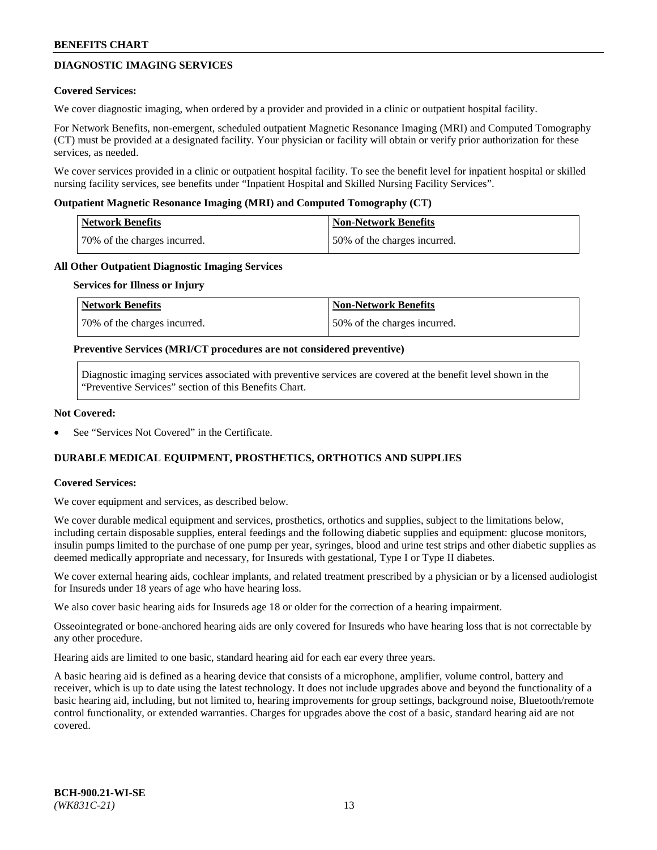# **DIAGNOSTIC IMAGING SERVICES**

### **Covered Services:**

We cover diagnostic imaging, when ordered by a provider and provided in a clinic or outpatient hospital facility.

For Network Benefits, non-emergent, scheduled outpatient Magnetic Resonance Imaging (MRI) and Computed Tomography (CT) must be provided at a designated facility. Your physician or facility will obtain or verify prior authorization for these services, as needed.

We cover services provided in a clinic or outpatient hospital facility. To see the benefit level for inpatient hospital or skilled nursing facility services, see benefits under "Inpatient Hospital and Skilled Nursing Facility Services".

### **Outpatient Magnetic Resonance Imaging (MRI) and Computed Tomography (CT)**

| <b>Network Benefits</b>      | <b>Non-Network Benefits</b>  |
|------------------------------|------------------------------|
| 70% of the charges incurred. | 50% of the charges incurred. |

### **All Other Outpatient Diagnostic Imaging Services**

#### **Services for Illness or Injury**

| Network Benefits             | <b>Non-Network Benefits</b>  |
|------------------------------|------------------------------|
| 70% of the charges incurred. | 50% of the charges incurred. |

### **Preventive Services (MRI/CT procedures are not considered preventive)**

Diagnostic imaging services associated with preventive services are covered at the benefit level shown in the "Preventive Services" section of this Benefits Chart.

### **Not Covered:**

See "Services Not Covered" in the Certificate.

# **DURABLE MEDICAL EQUIPMENT, PROSTHETICS, ORTHOTICS AND SUPPLIES**

#### **Covered Services:**

We cover equipment and services, as described below.

We cover durable medical equipment and services, prosthetics, orthotics and supplies, subject to the limitations below, including certain disposable supplies, enteral feedings and the following diabetic supplies and equipment: glucose monitors, insulin pumps limited to the purchase of one pump per year, syringes, blood and urine test strips and other diabetic supplies as deemed medically appropriate and necessary, for Insureds with gestational, Type I or Type II diabetes.

We cover external hearing aids, cochlear implants, and related treatment prescribed by a physician or by a licensed audiologist for Insureds under 18 years of age who have hearing loss.

We also cover basic hearing aids for Insureds age 18 or older for the correction of a hearing impairment.

Osseointegrated or bone-anchored hearing aids are only covered for Insureds who have hearing loss that is not correctable by any other procedure.

Hearing aids are limited to one basic, standard hearing aid for each ear every three years.

A basic hearing aid is defined as a hearing device that consists of a microphone, amplifier, volume control, battery and receiver, which is up to date using the latest technology. It does not include upgrades above and beyond the functionality of a basic hearing aid, including, but not limited to, hearing improvements for group settings, background noise, Bluetooth/remote control functionality, or extended warranties. Charges for upgrades above the cost of a basic, standard hearing aid are not covered.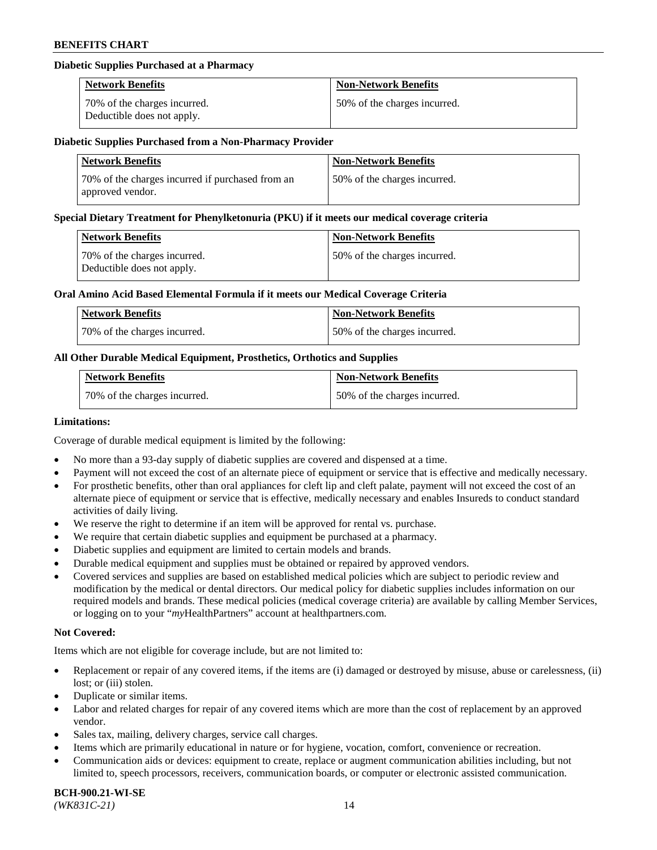### **Diabetic Supplies Purchased at a Pharmacy**

| <b>Network Benefits</b>                                    | <b>Non-Network Benefits</b>  |
|------------------------------------------------------------|------------------------------|
| 70% of the charges incurred.<br>Deductible does not apply. | 50% of the charges incurred. |

### **Diabetic Supplies Purchased from a Non-Pharmacy Provider**

| <b>Network Benefits</b>                                              | <b>Non-Network Benefits</b>  |
|----------------------------------------------------------------------|------------------------------|
| 70% of the charges incurred if purchased from an<br>approved vendor. | 50% of the charges incurred. |

#### **Special Dietary Treatment for Phenylketonuria (PKU) if it meets our medical coverage criteria**

| Network Benefits                                           | <b>Non-Network Benefits</b>  |
|------------------------------------------------------------|------------------------------|
| 70% of the charges incurred.<br>Deductible does not apply. | 50% of the charges incurred. |

### **Oral Amino Acid Based Elemental Formula if it meets our Medical Coverage Criteria**

| Network Benefits             | <b>Non-Network Benefits</b>  |
|------------------------------|------------------------------|
| 70% of the charges incurred. | 50% of the charges incurred. |

# **All Other Durable Medical Equipment, Prosthetics, Orthotics and Supplies**

| <b>Network Benefits</b>      | <b>Non-Network Benefits</b>  |
|------------------------------|------------------------------|
| 70% of the charges incurred. | 50% of the charges incurred. |

### **Limitations:**

Coverage of durable medical equipment is limited by the following:

- No more than a 93-day supply of diabetic supplies are covered and dispensed at a time.
- Payment will not exceed the cost of an alternate piece of equipment or service that is effective and medically necessary.
- For prosthetic benefits, other than oral appliances for cleft lip and cleft palate, payment will not exceed the cost of an alternate piece of equipment or service that is effective, medically necessary and enables Insureds to conduct standard
- activities of daily living. We reserve the right to determine if an item will be approved for rental vs. purchase.
- We require that certain diabetic supplies and equipment be purchased at a pharmacy.
- Diabetic supplies and equipment are limited to certain models and brands.
- Durable medical equipment and supplies must be obtained or repaired by approved vendors.
- Covered services and supplies are based on established medical policies which are subject to periodic review and modification by the medical or dental directors. Our medical policy for diabetic supplies includes information on our required models and brands. These medical policies (medical coverage criteria) are available by calling Member Services, or logging on to your "*my*HealthPartners" account a[t healthpartners.com.](https://www.healthpartners.com/hp/index.html)

# **Not Covered:**

Items which are not eligible for coverage include, but are not limited to:

- Replacement or repair of any covered items, if the items are (i) damaged or destroyed by misuse, abuse or carelessness, (ii) lost; or (iii) stolen.
- Duplicate or similar items.
- Labor and related charges for repair of any covered items which are more than the cost of replacement by an approved vendor.
- Sales tax, mailing, delivery charges, service call charges.
- Items which are primarily educational in nature or for hygiene, vocation, comfort, convenience or recreation.
- Communication aids or devices: equipment to create, replace or augment communication abilities including, but not limited to, speech processors, receivers, communication boards, or computer or electronic assisted communication.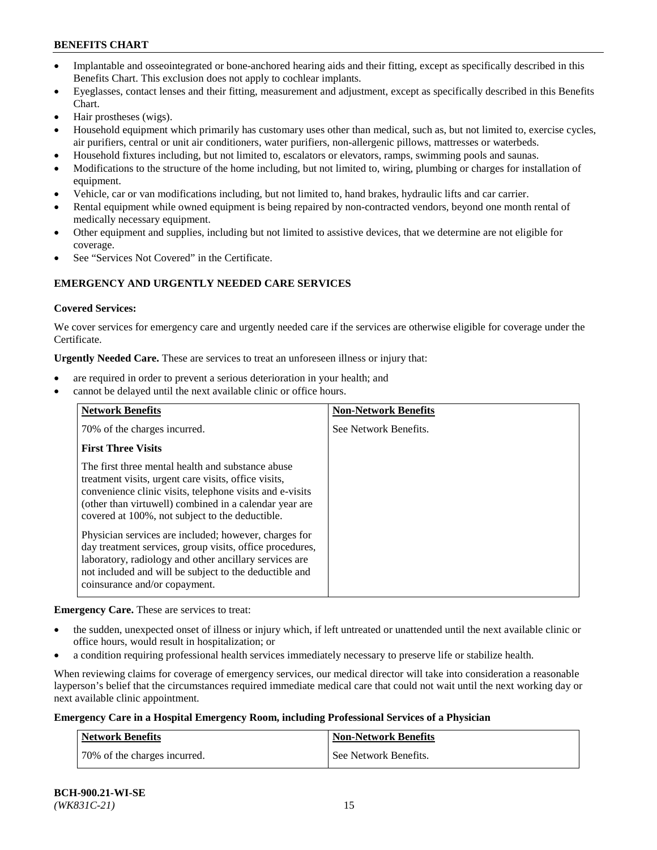- Implantable and osseointegrated or bone-anchored hearing aids and their fitting, except as specifically described in this Benefits Chart. This exclusion does not apply to cochlear implants.
- Eyeglasses, contact lenses and their fitting, measurement and adjustment, except as specifically described in this Benefits Chart.
- Hair prostheses (wigs).
- Household equipment which primarily has customary uses other than medical, such as, but not limited to, exercise cycles, air purifiers, central or unit air conditioners, water purifiers, non-allergenic pillows, mattresses or waterbeds.
- Household fixtures including, but not limited to, escalators or elevators, ramps, swimming pools and saunas.
- Modifications to the structure of the home including, but not limited to, wiring, plumbing or charges for installation of equipment.
- Vehicle, car or van modifications including, but not limited to, hand brakes, hydraulic lifts and car carrier.
- Rental equipment while owned equipment is being repaired by non-contracted vendors, beyond one month rental of medically necessary equipment.
- Other equipment and supplies, including but not limited to assistive devices, that we determine are not eligible for coverage.
- See "Services Not Covered" in the Certificate.

# **EMERGENCY AND URGENTLY NEEDED CARE SERVICES**

### **Covered Services:**

We cover services for emergency care and urgently needed care if the services are otherwise eligible for coverage under the Certificate.

**Urgently Needed Care.** These are services to treat an unforeseen illness or injury that:

- are required in order to prevent a serious deterioration in your health; and
- cannot be delayed until the next available clinic or office hours.

| <b>Network Benefits</b>                                                                                                                                                                                                                                                            | <b>Non-Network Benefits</b> |
|------------------------------------------------------------------------------------------------------------------------------------------------------------------------------------------------------------------------------------------------------------------------------------|-----------------------------|
| 70% of the charges incurred.                                                                                                                                                                                                                                                       | See Network Benefits.       |
| <b>First Three Visits</b>                                                                                                                                                                                                                                                          |                             |
| The first three mental health and substance abuse<br>treatment visits, urgent care visits, office visits,<br>convenience clinic visits, telephone visits and e-visits<br>(other than virtuwell) combined in a calendar year are<br>covered at 100%, not subject to the deductible. |                             |
| Physician services are included; however, charges for<br>day treatment services, group visits, office procedures,<br>laboratory, radiology and other ancillary services are<br>not included and will be subject to the deductible and<br>coinsurance and/or copayment.             |                             |

**Emergency Care.** These are services to treat:

- the sudden, unexpected onset of illness or injury which, if left untreated or unattended until the next available clinic or office hours, would result in hospitalization; or
- a condition requiring professional health services immediately necessary to preserve life or stabilize health.

When reviewing claims for coverage of emergency services, our medical director will take into consideration a reasonable layperson's belief that the circumstances required immediate medical care that could not wait until the next working day or next available clinic appointment.

# **Emergency Care in a Hospital Emergency Room, including Professional Services of a Physician**

| <b>Network Benefits</b>      | Non-Network Benefits  |
|------------------------------|-----------------------|
| 70% of the charges incurred. | See Network Benefits. |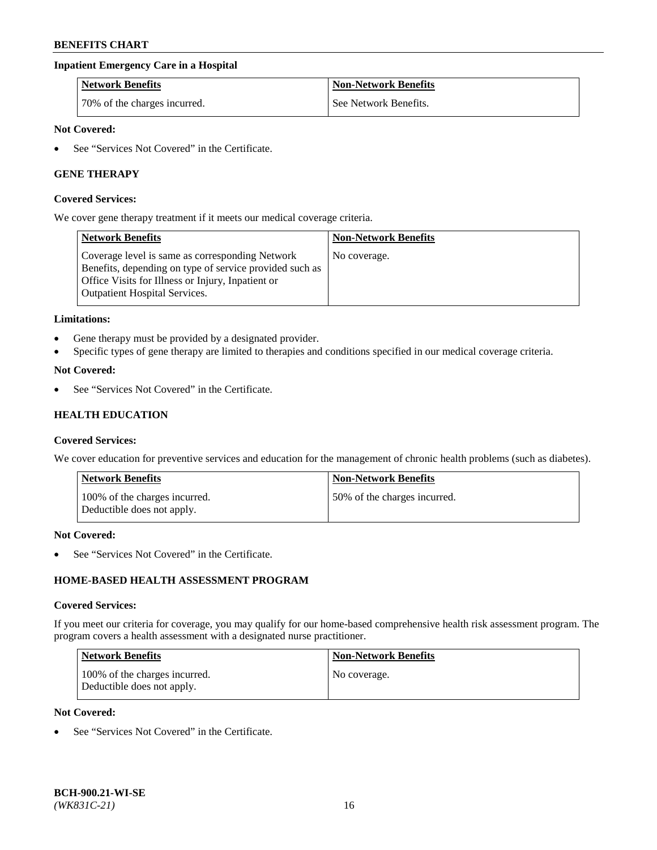# **Inpatient Emergency Care in a Hospital**

| <b>Network Benefits</b>      | <b>Non-Network Benefits</b> |
|------------------------------|-----------------------------|
| 70% of the charges incurred. | See Network Benefits.       |

### **Not Covered:**

See "Services Not Covered" in the Certificate.

# **GENE THERAPY**

#### **Covered Services:**

We cover gene therapy treatment if it meets our medical coverage criteria.

| <b>Network Benefits</b>                                                                                                                                                                                 | <b>Non-Network Benefits</b> |
|---------------------------------------------------------------------------------------------------------------------------------------------------------------------------------------------------------|-----------------------------|
| Coverage level is same as corresponding Network<br>Benefits, depending on type of service provided such as<br>Office Visits for Illness or Injury, Inpatient or<br><b>Outpatient Hospital Services.</b> | No coverage.                |

### **Limitations:**

- Gene therapy must be provided by a designated provider.
- Specific types of gene therapy are limited to therapies and conditions specified in our medical coverage criteria.

### **Not Covered:**

See "Services Not Covered" in the Certificate.

# **HEALTH EDUCATION**

#### **Covered Services:**

We cover education for preventive services and education for the management of chronic health problems (such as diabetes).

| <b>Network Benefits</b>                                     | <b>Non-Network Benefits</b>  |
|-------------------------------------------------------------|------------------------------|
| 100% of the charges incurred.<br>Deductible does not apply. | 50% of the charges incurred. |

#### **Not Covered:**

See "Services Not Covered" in the Certificate.

# **HOME-BASED HEALTH ASSESSMENT PROGRAM**

#### **Covered Services:**

If you meet our criteria for coverage, you may qualify for our home-based comprehensive health risk assessment program. The program covers a health assessment with a designated nurse practitioner.

| Network Benefits                                            | <b>Non-Network Benefits</b> |
|-------------------------------------------------------------|-----------------------------|
| 100% of the charges incurred.<br>Deductible does not apply. | No coverage.                |

# **Not Covered:**

• See "Services Not Covered" in the Certificate.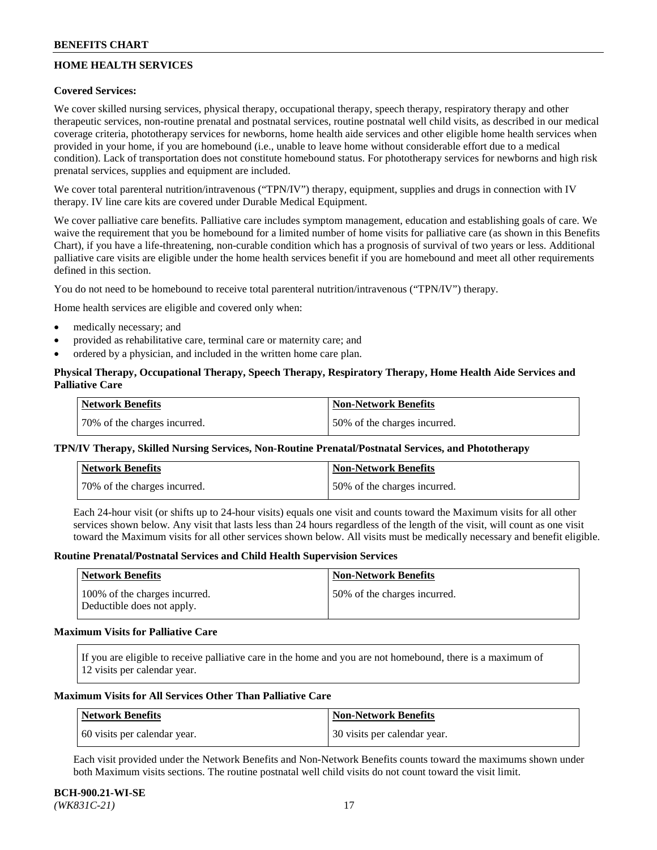# **HOME HEALTH SERVICES**

## **Covered Services:**

We cover skilled nursing services, physical therapy, occupational therapy, speech therapy, respiratory therapy and other therapeutic services, non-routine prenatal and postnatal services, routine postnatal well child visits, as described in our medical coverage criteria, phototherapy services for newborns, home health aide services and other eligible home health services when provided in your home, if you are homebound (i.e., unable to leave home without considerable effort due to a medical condition). Lack of transportation does not constitute homebound status. For phototherapy services for newborns and high risk prenatal services, supplies and equipment are included.

We cover total parenteral nutrition/intravenous ("TPN/IV") therapy, equipment, supplies and drugs in connection with IV therapy. IV line care kits are covered under Durable Medical Equipment.

We cover palliative care benefits. Palliative care includes symptom management, education and establishing goals of care. We waive the requirement that you be homebound for a limited number of home visits for palliative care (as shown in this Benefits Chart), if you have a life-threatening, non-curable condition which has a prognosis of survival of two years or less. Additional palliative care visits are eligible under the home health services benefit if you are homebound and meet all other requirements defined in this section.

You do not need to be homebound to receive total parenteral nutrition/intravenous ("TPN/IV") therapy.

Home health services are eligible and covered only when:

- medically necessary; and
- provided as rehabilitative care, terminal care or maternity care; and
- ordered by a physician, and included in the written home care plan.

# **Physical Therapy, Occupational Therapy, Speech Therapy, Respiratory Therapy, Home Health Aide Services and Palliative Care**

| Network Benefits             | <b>Non-Network Benefits</b>  |
|------------------------------|------------------------------|
| 70% of the charges incurred. | 50% of the charges incurred. |

# **TPN/IV Therapy, Skilled Nursing Services, Non-Routine Prenatal/Postnatal Services, and Phototherapy**

| Network Benefits             | <b>Non-Network Benefits</b>  |
|------------------------------|------------------------------|
| 70% of the charges incurred. | 50% of the charges incurred. |

Each 24-hour visit (or shifts up to 24-hour visits) equals one visit and counts toward the Maximum visits for all other services shown below. Any visit that lasts less than 24 hours regardless of the length of the visit, will count as one visit toward the Maximum visits for all other services shown below. All visits must be medically necessary and benefit eligible.

#### **Routine Prenatal/Postnatal Services and Child Health Supervision Services**

| Network Benefits                                            | <b>Non-Network Benefits</b>  |
|-------------------------------------------------------------|------------------------------|
| 100% of the charges incurred.<br>Deductible does not apply. | 50% of the charges incurred. |

### **Maximum Visits for Palliative Care**

If you are eligible to receive palliative care in the home and you are not homebound, there is a maximum of 12 visits per calendar year.

### **Maximum Visits for All Services Other Than Palliative Care**

| Network Benefits             | Non-Network Benefits         |
|------------------------------|------------------------------|
| 60 visits per calendar year. | 30 visits per calendar year. |

Each visit provided under the Network Benefits and Non-Network Benefits counts toward the maximums shown under both Maximum visits sections. The routine postnatal well child visits do not count toward the visit limit.

#### **BCH-900.21-WI-SE**  *(WK831C-21)* 17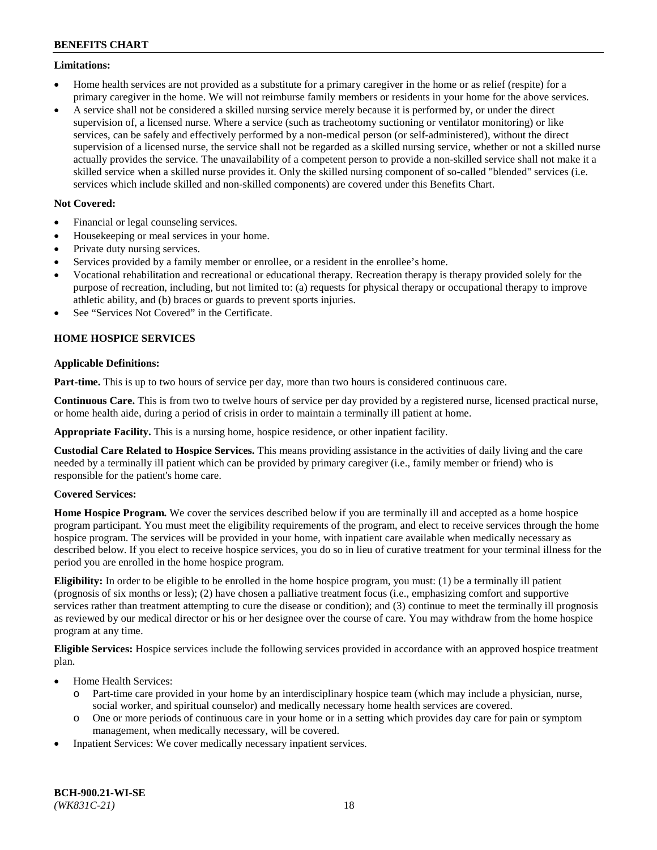### **Limitations:**

- Home health services are not provided as a substitute for a primary caregiver in the home or as relief (respite) for a primary caregiver in the home. We will not reimburse family members or residents in your home for the above services.
- A service shall not be considered a skilled nursing service merely because it is performed by, or under the direct supervision of, a licensed nurse. Where a service (such as tracheotomy suctioning or ventilator monitoring) or like services, can be safely and effectively performed by a non-medical person (or self-administered), without the direct supervision of a licensed nurse, the service shall not be regarded as a skilled nursing service, whether or not a skilled nurse actually provides the service. The unavailability of a competent person to provide a non-skilled service shall not make it a skilled service when a skilled nurse provides it. Only the skilled nursing component of so-called "blended" services (i.e. services which include skilled and non-skilled components) are covered under this Benefits Chart.

# **Not Covered:**

- Financial or legal counseling services.
- Housekeeping or meal services in your home.
- Private duty nursing services.
- Services provided by a family member or enrollee, or a resident in the enrollee's home.
- Vocational rehabilitation and recreational or educational therapy. Recreation therapy is therapy provided solely for the purpose of recreation, including, but not limited to: (a) requests for physical therapy or occupational therapy to improve athletic ability, and (b) braces or guards to prevent sports injuries.
- See "Services Not Covered" in the Certificate.

# **HOME HOSPICE SERVICES**

# **Applicable Definitions:**

**Part-time.** This is up to two hours of service per day, more than two hours is considered continuous care.

**Continuous Care.** This is from two to twelve hours of service per day provided by a registered nurse, licensed practical nurse, or home health aide, during a period of crisis in order to maintain a terminally ill patient at home.

**Appropriate Facility.** This is a nursing home, hospice residence, or other inpatient facility.

**Custodial Care Related to Hospice Services.** This means providing assistance in the activities of daily living and the care needed by a terminally ill patient which can be provided by primary caregiver (i.e., family member or friend) who is responsible for the patient's home care.

# **Covered Services:**

**Home Hospice Program.** We cover the services described below if you are terminally ill and accepted as a home hospice program participant. You must meet the eligibility requirements of the program, and elect to receive services through the home hospice program. The services will be provided in your home, with inpatient care available when medically necessary as described below. If you elect to receive hospice services, you do so in lieu of curative treatment for your terminal illness for the period you are enrolled in the home hospice program.

**Eligibility:** In order to be eligible to be enrolled in the home hospice program, you must: (1) be a terminally ill patient (prognosis of six months or less); (2) have chosen a palliative treatment focus (i.e., emphasizing comfort and supportive services rather than treatment attempting to cure the disease or condition); and (3) continue to meet the terminally ill prognosis as reviewed by our medical director or his or her designee over the course of care. You may withdraw from the home hospice program at any time.

**Eligible Services:** Hospice services include the following services provided in accordance with an approved hospice treatment plan.

- Home Health Services:
	- o Part-time care provided in your home by an interdisciplinary hospice team (which may include a physician, nurse, social worker, and spiritual counselor) and medically necessary home health services are covered.
	- o One or more periods of continuous care in your home or in a setting which provides day care for pain or symptom management, when medically necessary, will be covered.
- Inpatient Services: We cover medically necessary inpatient services.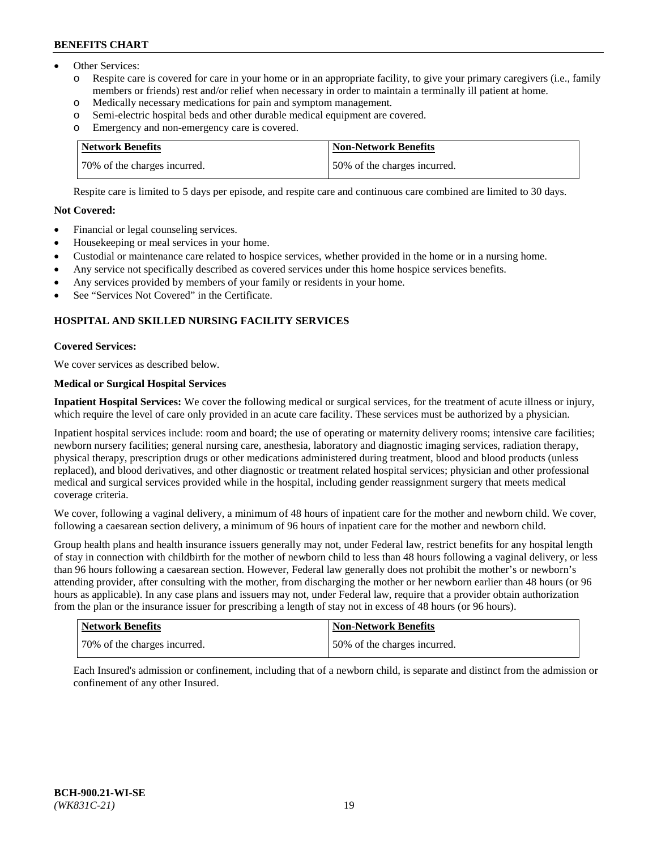- Other Services:
	- Respite care is covered for care in your home or in an appropriate facility, to give your primary caregivers (i.e., family members or friends) rest and/or relief when necessary in order to maintain a terminally ill patient at home.
	- o Medically necessary medications for pain and symptom management.
	- o Semi-electric hospital beds and other durable medical equipment are covered.
	- Emergency and non-emergency care is covered.

| Network Benefits             | Non-Network Benefits         |
|------------------------------|------------------------------|
| 70% of the charges incurred. | 50% of the charges incurred. |

Respite care is limited to 5 days per episode, and respite care and continuous care combined are limited to 30 days.

# **Not Covered:**

- Financial or legal counseling services.
- Housekeeping or meal services in your home.
- Custodial or maintenance care related to hospice services, whether provided in the home or in a nursing home.
- Any service not specifically described as covered services under this home hospice services benefits.
- Any services provided by members of your family or residents in your home.
- See "Services Not Covered" in the Certificate.

# **HOSPITAL AND SKILLED NURSING FACILITY SERVICES**

# **Covered Services:**

We cover services as described below.

# **Medical or Surgical Hospital Services**

**Inpatient Hospital Services:** We cover the following medical or surgical services, for the treatment of acute illness or injury, which require the level of care only provided in an acute care facility. These services must be authorized by a physician.

Inpatient hospital services include: room and board; the use of operating or maternity delivery rooms; intensive care facilities; newborn nursery facilities; general nursing care, anesthesia, laboratory and diagnostic imaging services, radiation therapy, physical therapy, prescription drugs or other medications administered during treatment, blood and blood products (unless replaced), and blood derivatives, and other diagnostic or treatment related hospital services; physician and other professional medical and surgical services provided while in the hospital, including gender reassignment surgery that meets medical coverage criteria.

We cover, following a vaginal delivery, a minimum of 48 hours of inpatient care for the mother and newborn child. We cover, following a caesarean section delivery, a minimum of 96 hours of inpatient care for the mother and newborn child.

Group health plans and health insurance issuers generally may not, under Federal law, restrict benefits for any hospital length of stay in connection with childbirth for the mother of newborn child to less than 48 hours following a vaginal delivery, or less than 96 hours following a caesarean section. However, Federal law generally does not prohibit the mother's or newborn's attending provider, after consulting with the mother, from discharging the mother or her newborn earlier than 48 hours (or 96 hours as applicable). In any case plans and issuers may not, under Federal law, require that a provider obtain authorization from the plan or the insurance issuer for prescribing a length of stay not in excess of 48 hours (or 96 hours).

| Network Benefits             | Non-Network Benefits         |
|------------------------------|------------------------------|
| 70% of the charges incurred. | 50% of the charges incurred. |

Each Insured's admission or confinement, including that of a newborn child, is separate and distinct from the admission or confinement of any other Insured.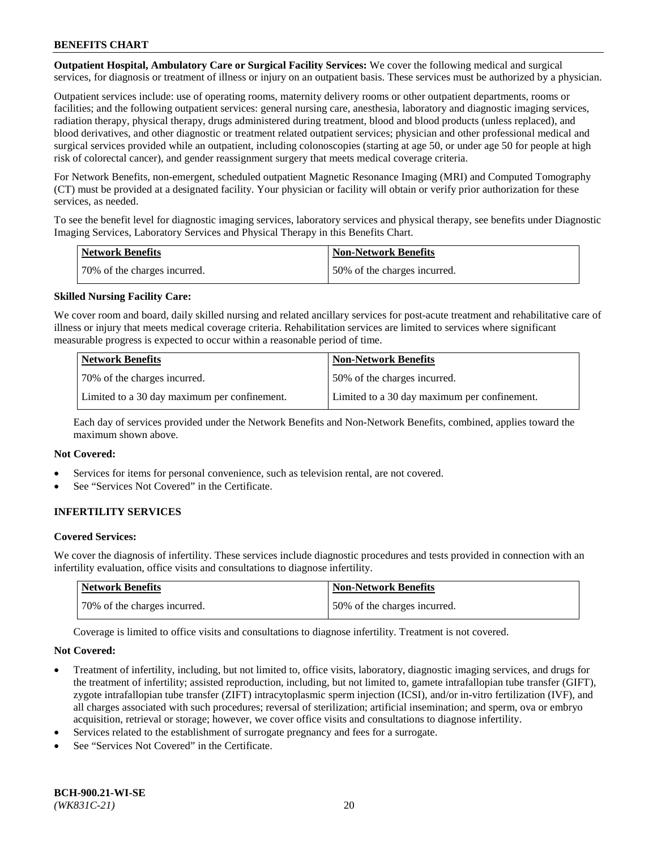**Outpatient Hospital, Ambulatory Care or Surgical Facility Services:** We cover the following medical and surgical services, for diagnosis or treatment of illness or injury on an outpatient basis. These services must be authorized by a physician.

Outpatient services include: use of operating rooms, maternity delivery rooms or other outpatient departments, rooms or facilities; and the following outpatient services: general nursing care, anesthesia, laboratory and diagnostic imaging services, radiation therapy, physical therapy, drugs administered during treatment, blood and blood products (unless replaced), and blood derivatives, and other diagnostic or treatment related outpatient services; physician and other professional medical and surgical services provided while an outpatient, including colonoscopies (starting at age 50, or under age 50 for people at high risk of colorectal cancer), and gender reassignment surgery that meets medical coverage criteria.

For Network Benefits, non-emergent, scheduled outpatient Magnetic Resonance Imaging (MRI) and Computed Tomography (CT) must be provided at a designated facility. Your physician or facility will obtain or verify prior authorization for these services, as needed.

To see the benefit level for diagnostic imaging services, laboratory services and physical therapy, see benefits under Diagnostic Imaging Services, Laboratory Services and Physical Therapy in this Benefits Chart.

| <b>Network Benefits</b>      | <b>Non-Network Benefits</b>  |
|------------------------------|------------------------------|
| 70% of the charges incurred. | 50% of the charges incurred. |

# **Skilled Nursing Facility Care:**

We cover room and board, daily skilled nursing and related ancillary services for post-acute treatment and rehabilitative care of illness or injury that meets medical coverage criteria. Rehabilitation services are limited to services where significant measurable progress is expected to occur within a reasonable period of time.

| <b>Network Benefits</b>                      | <b>Non-Network Benefits</b>                  |
|----------------------------------------------|----------------------------------------------|
| 70\% of the charges incurred.                | 150% of the charges incurred.                |
| Limited to a 30 day maximum per confinement. | Limited to a 30 day maximum per confinement. |

Each day of services provided under the Network Benefits and Non-Network Benefits, combined, applies toward the maximum shown above.

### **Not Covered:**

- Services for items for personal convenience, such as television rental, are not covered.
- See "Services Not Covered" in the Certificate.

# **INFERTILITY SERVICES**

#### **Covered Services:**

We cover the diagnosis of infertility. These services include diagnostic procedures and tests provided in connection with an infertility evaluation, office visits and consultations to diagnose infertility.

| Network Benefits             | <b>Non-Network Benefits</b>  |
|------------------------------|------------------------------|
| 70% of the charges incurred. | 50% of the charges incurred. |

Coverage is limited to office visits and consultations to diagnose infertility. Treatment is not covered.

#### **Not Covered:**

- Treatment of infertility, including, but not limited to, office visits, laboratory, diagnostic imaging services, and drugs for the treatment of infertility; assisted reproduction, including, but not limited to, gamete intrafallopian tube transfer (GIFT), zygote intrafallopian tube transfer (ZIFT) intracytoplasmic sperm injection (ICSI), and/or in-vitro fertilization (IVF), and all charges associated with such procedures; reversal of sterilization; artificial insemination; and sperm, ova or embryo acquisition, retrieval or storage; however, we cover office visits and consultations to diagnose infertility.
- Services related to the establishment of surrogate pregnancy and fees for a surrogate.
- See "Services Not Covered" in the Certificate.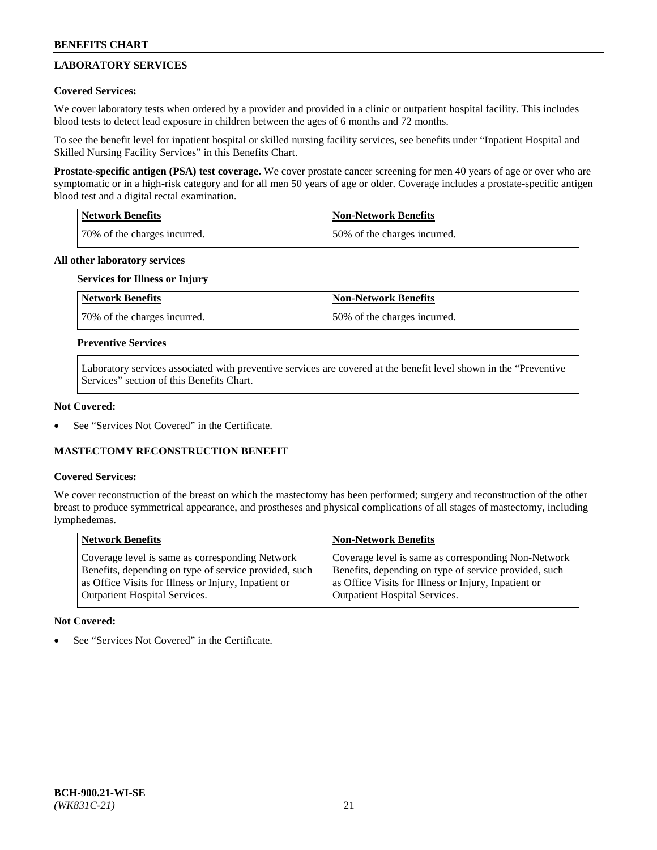# **LABORATORY SERVICES**

# **Covered Services:**

We cover laboratory tests when ordered by a provider and provided in a clinic or outpatient hospital facility. This includes blood tests to detect lead exposure in children between the ages of 6 months and 72 months.

To see the benefit level for inpatient hospital or skilled nursing facility services, see benefits under "Inpatient Hospital and Skilled Nursing Facility Services" in this Benefits Chart.

**Prostate-specific antigen (PSA) test coverage.** We cover prostate cancer screening for men 40 years of age or over who are symptomatic or in a high-risk category and for all men 50 years of age or older. Coverage includes a prostate-specific antigen blood test and a digital rectal examination.

| Network Benefits             | <b>Non-Network Benefits</b>  |
|------------------------------|------------------------------|
| 70% of the charges incurred. | 50% of the charges incurred. |

### **All other laboratory services**

# **Services for Illness or Injury**

| <b>Network Benefits</b>      | Non-Network Benefits         |
|------------------------------|------------------------------|
| 70% of the charges incurred. | 50% of the charges incurred. |

# **Preventive Services**

Laboratory services associated with preventive services are covered at the benefit level shown in the "Preventive Services" section of this Benefits Chart.

### **Not Covered:**

See "Services Not Covered" in the Certificate.

# **MASTECTOMY RECONSTRUCTION BENEFIT**

#### **Covered Services:**

We cover reconstruction of the breast on which the mastectomy has been performed; surgery and reconstruction of the other breast to produce symmetrical appearance, and prostheses and physical complications of all stages of mastectomy, including lymphedemas.

| <b>Network Benefits</b>                               | <b>Non-Network Benefits</b>                           |
|-------------------------------------------------------|-------------------------------------------------------|
| Coverage level is same as corresponding Network       | Coverage level is same as corresponding Non-Network   |
| Benefits, depending on type of service provided, such | Benefits, depending on type of service provided, such |
| as Office Visits for Illness or Injury, Inpatient or  | as Office Visits for Illness or Injury, Inpatient or  |
| <b>Outpatient Hospital Services.</b>                  | <b>Outpatient Hospital Services.</b>                  |

#### **Not Covered:**

See "Services Not Covered" in the Certificate.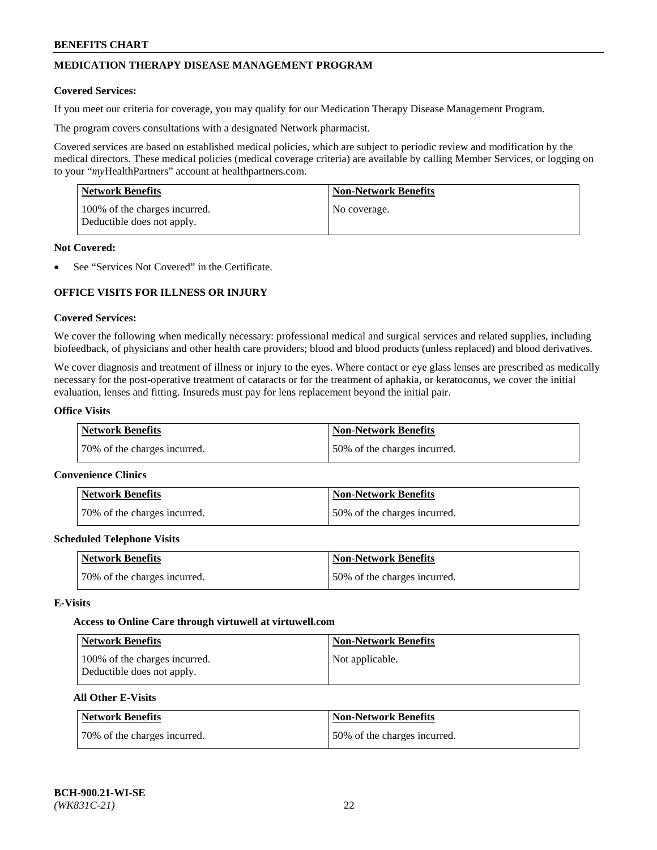# **MEDICATION THERAPY DISEASE MANAGEMENT PROGRAM**

### **Covered Services:**

If you meet our criteria for coverage, you may qualify for our Medication Therapy Disease Management Program.

The program covers consultations with a designated Network pharmacist.

Covered services are based on established medical policies, which are subject to periodic review and modification by the medical directors. These medical policies (medical coverage criteria) are available by calling Member Services, or logging on to your "*my*HealthPartners" account at [healthpartners.com.](http://www.healthpartners.com/)

| Network Benefits                                            | <b>Non-Network Benefits</b> |
|-------------------------------------------------------------|-----------------------------|
| 100% of the charges incurred.<br>Deductible does not apply. | No coverage.                |

### **Not Covered:**

See "Services Not Covered" in the Certificate.

# **OFFICE VISITS FOR ILLNESS OR INJURY**

### **Covered Services:**

We cover the following when medically necessary: professional medical and surgical services and related supplies, including biofeedback, of physicians and other health care providers; blood and blood products (unless replaced) and blood derivatives.

We cover diagnosis and treatment of illness or injury to the eyes. Where contact or eye glass lenses are prescribed as medically necessary for the post-operative treatment of cataracts or for the treatment of aphakia, or keratoconus, we cover the initial evaluation, lenses and fitting. Insureds must pay for lens replacement beyond the initial pair.

# **Office Visits**

| Network Benefits             | <b>Non-Network Benefits</b>  |
|------------------------------|------------------------------|
| 70% of the charges incurred. | 50% of the charges incurred. |

#### **Convenience Clinics**

| Network Benefits             | <b>Non-Network Benefits</b>  |
|------------------------------|------------------------------|
| 70% of the charges incurred. | 50% of the charges incurred. |

#### **Scheduled Telephone Visits**

| <b>Network Benefits</b>      | <b>Non-Network Benefits</b>   |
|------------------------------|-------------------------------|
| 70% of the charges incurred. | 150% of the charges incurred. |

#### **E-Visits**

#### **Access to Online Care through virtuwell a[t virtuwell.com](https://www.virtuwell.com/)**

| <b>Network Benefits</b>                                     | <b>Non-Network Benefits</b> |
|-------------------------------------------------------------|-----------------------------|
| 100% of the charges incurred.<br>Deductible does not apply. | Not applicable.             |

### **All Other E-Visits**

| Network Benefits             | <b>Non-Network Benefits</b>  |
|------------------------------|------------------------------|
| 70% of the charges incurred. | 50% of the charges incurred. |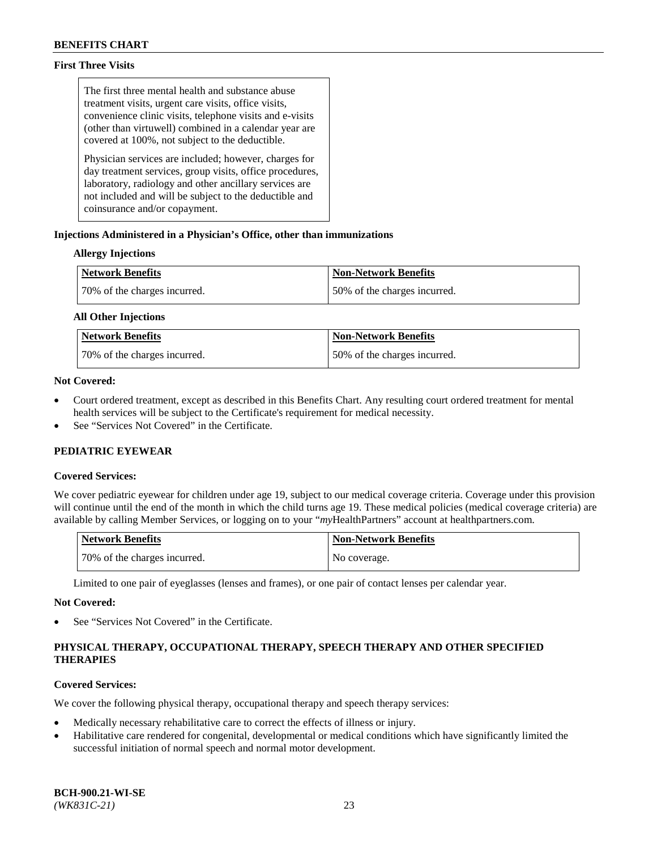# **First Three Visits**

The first three mental health and substance abuse treatment visits, urgent care visits, office visits, convenience clinic visits, telephone visits and e-visits (other than virtuwell) combined in a calendar year are covered at 100%, not subject to the deductible.

Physician services are included; however, charges for day treatment services, group visits, office procedures, laboratory, radiology and other ancillary services are not included and will be subject to the deductible and coinsurance and/or copayment.

# **Injections Administered in a Physician's Office, other than immunizations**

# **Allergy Injections**

| <b>Network Benefits</b>      | <b>Non-Network Benefits</b>  |
|------------------------------|------------------------------|
| 70% of the charges incurred. | 50% of the charges incurred. |

### **All Other Injections**

| <b>Network Benefits</b>      | <b>Non-Network Benefits</b>  |
|------------------------------|------------------------------|
| 70% of the charges incurred. | 50% of the charges incurred. |

# **Not Covered:**

- Court ordered treatment, except as described in this Benefits Chart. Any resulting court ordered treatment for mental health services will be subject to the Certificate's requirement for medical necessity.
- See "Services Not Covered" in the Certificate.

# **PEDIATRIC EYEWEAR**

# **Covered Services:**

We cover pediatric eyewear for children under age 19, subject to our medical coverage criteria. Coverage under this provision will continue until the end of the month in which the child turns age 19. These medical policies (medical coverage criteria) are available by calling Member Services, or logging on to your "*my*HealthPartners" account a[t healthpartners.com.](https://www.healthpartners.com/hp/index.html)

| Network Benefits             | <b>Non-Network Benefits</b> |
|------------------------------|-----------------------------|
| 70% of the charges incurred. | No coverage.                |

Limited to one pair of eyeglasses (lenses and frames), or one pair of contact lenses per calendar year.

#### **Not Covered:**

See "Services Not Covered" in the Certificate.

# **PHYSICAL THERAPY, OCCUPATIONAL THERAPY, SPEECH THERAPY AND OTHER SPECIFIED THERAPIES**

# **Covered Services:**

We cover the following physical therapy, occupational therapy and speech therapy services:

- Medically necessary rehabilitative care to correct the effects of illness or injury.
- Habilitative care rendered for congenital, developmental or medical conditions which have significantly limited the successful initiation of normal speech and normal motor development.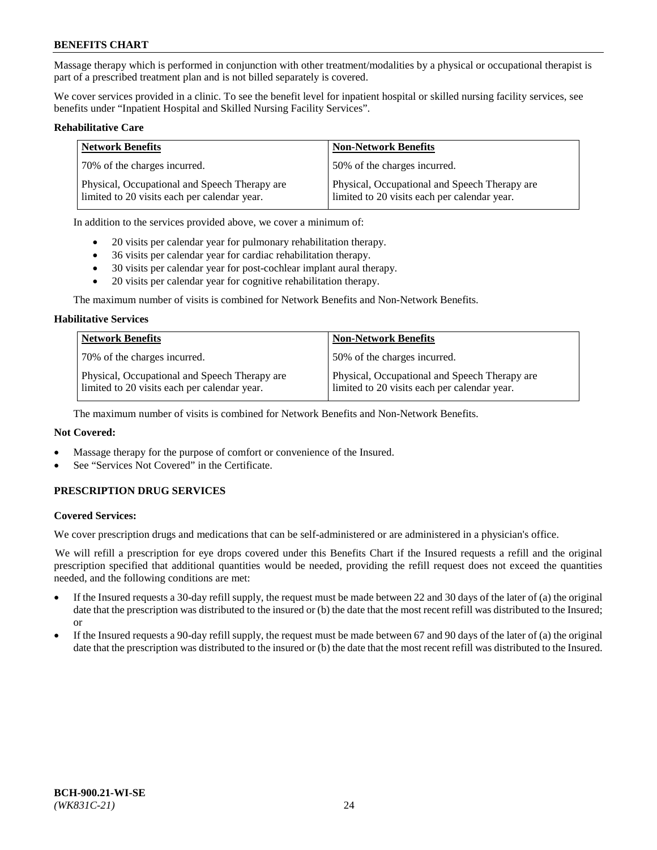Massage therapy which is performed in conjunction with other treatment/modalities by a physical or occupational therapist is part of a prescribed treatment plan and is not billed separately is covered.

We cover services provided in a clinic. To see the benefit level for inpatient hospital or skilled nursing facility services, see benefits under "Inpatient Hospital and Skilled Nursing Facility Services".

### **Rehabilitative Care**

| <b>Network Benefits</b>                                                                       | <b>Non-Network Benefits</b>                                                                   |
|-----------------------------------------------------------------------------------------------|-----------------------------------------------------------------------------------------------|
| 70% of the charges incurred.                                                                  | 50% of the charges incurred.                                                                  |
| Physical, Occupational and Speech Therapy are<br>limited to 20 visits each per calendar year. | Physical, Occupational and Speech Therapy are<br>limited to 20 visits each per calendar year. |

In addition to the services provided above, we cover a minimum of:

- 20 visits per calendar year for pulmonary rehabilitation therapy.
- 36 visits per calendar year for cardiac rehabilitation therapy.
- 30 visits per calendar year for post-cochlear implant aural therapy.
- 20 visits per calendar year for cognitive rehabilitation therapy.

The maximum number of visits is combined for Network Benefits and Non-Network Benefits.

#### **Habilitative Services**

| <b>Network Benefits</b>                                                                       | <b>Non-Network Benefits</b>                                                                   |
|-----------------------------------------------------------------------------------------------|-----------------------------------------------------------------------------------------------|
| 70% of the charges incurred.                                                                  | 50% of the charges incurred.                                                                  |
| Physical, Occupational and Speech Therapy are<br>limited to 20 visits each per calendar year. | Physical, Occupational and Speech Therapy are<br>limited to 20 visits each per calendar year. |

The maximum number of visits is combined for Network Benefits and Non-Network Benefits.

# **Not Covered:**

- Massage therapy for the purpose of comfort or convenience of the Insured.
- See "Services Not Covered" in the Certificate.

# **PRESCRIPTION DRUG SERVICES**

#### **Covered Services:**

We cover prescription drugs and medications that can be self-administered or are administered in a physician's office.

We will refill a prescription for eye drops covered under this Benefits Chart if the Insured requests a refill and the original prescription specified that additional quantities would be needed, providing the refill request does not exceed the quantities needed, and the following conditions are met:

- If the Insured requests a 30-day refill supply, the request must be made between 22 and 30 days of the later of (a) the original date that the prescription was distributed to the insured or (b) the date that the most recent refill was distributed to the Insured; or
- If the Insured requests a 90-day refill supply, the request must be made between 67 and 90 days of the later of (a) the original date that the prescription was distributed to the insured or (b) the date that the most recent refill was distributed to the Insured.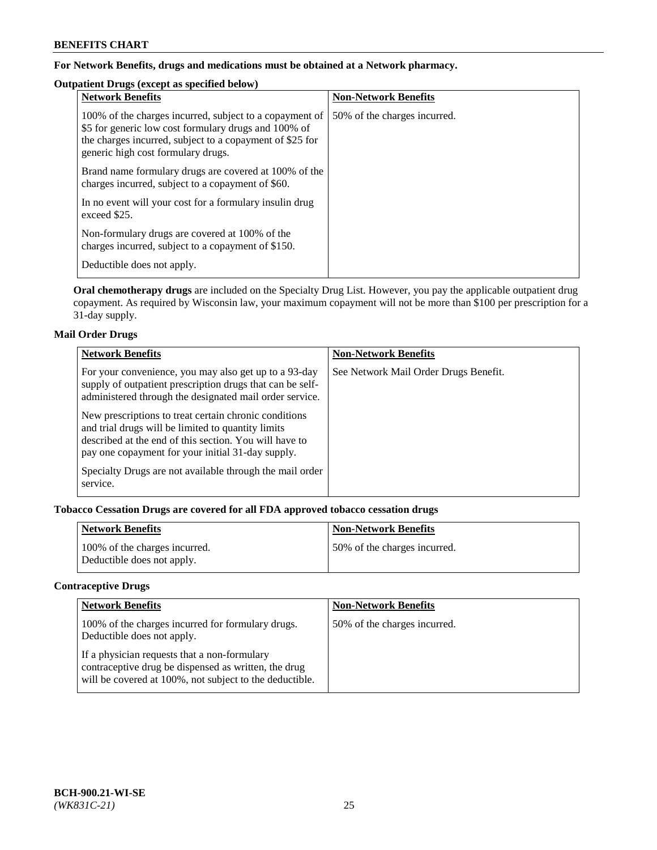# **For Network Benefits, drugs and medications must be obtained at a Network pharmacy.**

# **Outpatient Drugs (except as specified below)**

| <b>Network Benefits</b>                                                                                                                                                                                           | <b>Non-Network Benefits</b>  |
|-------------------------------------------------------------------------------------------------------------------------------------------------------------------------------------------------------------------|------------------------------|
| 100% of the charges incurred, subject to a copayment of<br>\$5 for generic low cost formulary drugs and 100% of<br>the charges incurred, subject to a copayment of \$25 for<br>generic high cost formulary drugs. | 50% of the charges incurred. |
| Brand name formulary drugs are covered at 100% of the<br>charges incurred, subject to a copayment of \$60.                                                                                                        |                              |
| In no event will your cost for a formulary insulin drug<br>exceed \$25.                                                                                                                                           |                              |
| Non-formulary drugs are covered at 100% of the<br>charges incurred, subject to a copayment of \$150.                                                                                                              |                              |
| Deductible does not apply.                                                                                                                                                                                        |                              |

**Oral chemotherapy drugs** are included on the Specialty Drug List. However, you pay the applicable outpatient drug copayment. As required by Wisconsin law, your maximum copayment will not be more than \$100 per prescription for a 31-day supply.

# **Mail Order Drugs**

| <b>Network Benefits</b>                                                                                                                                                                                                    | <b>Non-Network Benefits</b>           |
|----------------------------------------------------------------------------------------------------------------------------------------------------------------------------------------------------------------------------|---------------------------------------|
| For your convenience, you may also get up to a 93-day<br>supply of outpatient prescription drugs that can be self-<br>administered through the designated mail order service.                                              | See Network Mail Order Drugs Benefit. |
| New prescriptions to treat certain chronic conditions<br>and trial drugs will be limited to quantity limits<br>described at the end of this section. You will have to<br>pay one copayment for your initial 31-day supply. |                                       |
| Specialty Drugs are not available through the mail order<br>service.                                                                                                                                                       |                                       |

# **Tobacco Cessation Drugs are covered for all FDA approved tobacco cessation drugs**

| <b>Network Benefits</b>                                     | <b>Non-Network Benefits</b>  |
|-------------------------------------------------------------|------------------------------|
| 100% of the charges incurred.<br>Deductible does not apply. | 50% of the charges incurred. |

# **Contraceptive Drugs**

| <b>Network Benefits</b>                                                                                                                                         | <b>Non-Network Benefits</b>  |
|-----------------------------------------------------------------------------------------------------------------------------------------------------------------|------------------------------|
| 100% of the charges incurred for formulary drugs.<br>Deductible does not apply.                                                                                 | 50% of the charges incurred. |
| If a physician requests that a non-formulary<br>contraceptive drug be dispensed as written, the drug<br>will be covered at 100%, not subject to the deductible. |                              |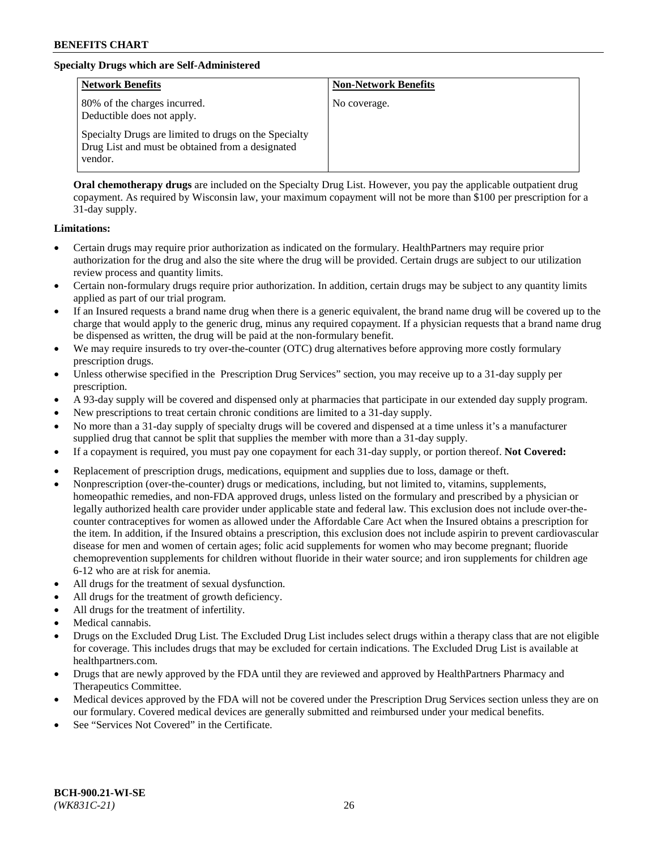# **Specialty Drugs which are Self-Administered**

| <b>Network Benefits</b>                                                                                              | <b>Non-Network Benefits</b> |
|----------------------------------------------------------------------------------------------------------------------|-----------------------------|
| 80% of the charges incurred.<br>Deductible does not apply.                                                           | No coverage.                |
| Specialty Drugs are limited to drugs on the Specialty<br>Drug List and must be obtained from a designated<br>vendor. |                             |

**Oral chemotherapy drugs** are included on the Specialty Drug List. However, you pay the applicable outpatient drug copayment. As required by Wisconsin law, your maximum copayment will not be more than \$100 per prescription for a 31-day supply.

### **Limitations:**

- Certain drugs may require prior authorization as indicated on the formulary. HealthPartners may require prior authorization for the drug and also the site where the drug will be provided. Certain drugs are subject to our utilization review process and quantity limits.
- Certain non-formulary drugs require prior authorization. In addition, certain drugs may be subject to any quantity limits applied as part of our trial program.
- If an Insured requests a brand name drug when there is a generic equivalent, the brand name drug will be covered up to the charge that would apply to the generic drug, minus any required copayment. If a physician requests that a brand name drug be dispensed as written, the drug will be paid at the non-formulary benefit.
- We may require insureds to try over-the-counter (OTC) drug alternatives before approving more costly formulary prescription drugs.
- Unless otherwise specified in the Prescription Drug Services" section, you may receive up to a 31-day supply per prescription.
- A 93-day supply will be covered and dispensed only at pharmacies that participate in our extended day supply program.
- New prescriptions to treat certain chronic conditions are limited to a 31-day supply.
- No more than a 31-day supply of specialty drugs will be covered and dispensed at a time unless it's a manufacturer supplied drug that cannot be split that supplies the member with more than a 31-day supply.
- If a copayment is required, you must pay one copayment for each 31-day supply, or portion thereof. **Not Covered:**
- Replacement of prescription drugs, medications, equipment and supplies due to loss, damage or theft.
- Nonprescription (over-the-counter) drugs or medications, including, but not limited to, vitamins, supplements, homeopathic remedies, and non-FDA approved drugs, unless listed on the formulary and prescribed by a physician or legally authorized health care provider under applicable state and federal law. This exclusion does not include over-thecounter contraceptives for women as allowed under the Affordable Care Act when the Insured obtains a prescription for the item. In addition, if the Insured obtains a prescription, this exclusion does not include aspirin to prevent cardiovascular disease for men and women of certain ages; folic acid supplements for women who may become pregnant; fluoride chemoprevention supplements for children without fluoride in their water source; and iron supplements for children age 6-12 who are at risk for anemia.
- All drugs for the treatment of sexual dysfunction.
- All drugs for the treatment of growth deficiency.
- All drugs for the treatment of infertility.
- Medical cannabis.
- Drugs on the Excluded Drug List. The Excluded Drug List includes select drugs within a therapy class that are not eligible for coverage. This includes drugs that may be excluded for certain indications. The Excluded Drug List is available at [healthpartners.com.](http://www.healthpartners.com/)
- Drugs that are newly approved by the FDA until they are reviewed and approved by HealthPartners Pharmacy and Therapeutics Committee.
- Medical devices approved by the FDA will not be covered under the Prescription Drug Services section unless they are on our formulary. Covered medical devices are generally submitted and reimbursed under your medical benefits.
- See "Services Not Covered" in the Certificate.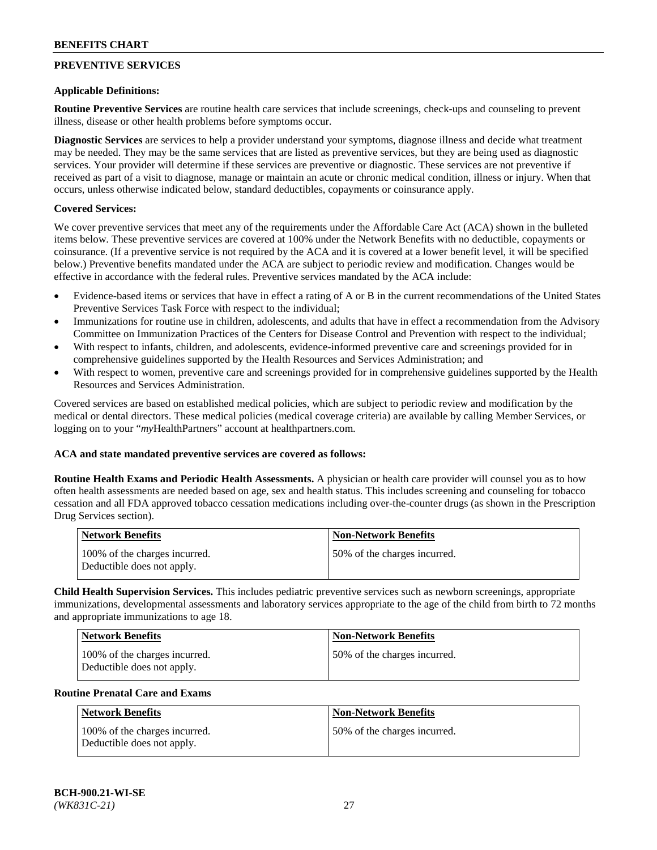# **PREVENTIVE SERVICES**

### **Applicable Definitions:**

**Routine Preventive Services** are routine health care services that include screenings, check-ups and counseling to prevent illness, disease or other health problems before symptoms occur.

**Diagnostic Services** are services to help a provider understand your symptoms, diagnose illness and decide what treatment may be needed. They may be the same services that are listed as preventive services, but they are being used as diagnostic services. Your provider will determine if these services are preventive or diagnostic. These services are not preventive if received as part of a visit to diagnose, manage or maintain an acute or chronic medical condition, illness or injury. When that occurs, unless otherwise indicated below, standard deductibles, copayments or coinsurance apply.

### **Covered Services:**

We cover preventive services that meet any of the requirements under the Affordable Care Act (ACA) shown in the bulleted items below. These preventive services are covered at 100% under the Network Benefits with no deductible, copayments or coinsurance. (If a preventive service is not required by the ACA and it is covered at a lower benefit level, it will be specified below.) Preventive benefits mandated under the ACA are subject to periodic review and modification. Changes would be effective in accordance with the federal rules. Preventive services mandated by the ACA include:

- Evidence-based items or services that have in effect a rating of A or B in the current recommendations of the United States Preventive Services Task Force with respect to the individual;
- Immunizations for routine use in children, adolescents, and adults that have in effect a recommendation from the Advisory Committee on Immunization Practices of the Centers for Disease Control and Prevention with respect to the individual;
- With respect to infants, children, and adolescents, evidence-informed preventive care and screenings provided for in comprehensive guidelines supported by the Health Resources and Services Administration; and
- With respect to women, preventive care and screenings provided for in comprehensive guidelines supported by the Health Resources and Services Administration.

Covered services are based on established medical policies, which are subject to periodic review and modification by the medical or dental directors. These medical policies (medical coverage criteria) are available by calling Member Services, or logging on to your "*my*HealthPartners" account at [healthpartners.com.](https://www.healthpartners.com/hp/index.html)

### **ACA and state mandated preventive services are covered as follows:**

**Routine Health Exams and Periodic Health Assessments.** A physician or health care provider will counsel you as to how often health assessments are needed based on age, sex and health status. This includes screening and counseling for tobacco cessation and all FDA approved tobacco cessation medications including over-the-counter drugs (as shown in the Prescription Drug Services section).

| <b>Network Benefits</b>                                     | <b>Non-Network Benefits</b>  |
|-------------------------------------------------------------|------------------------------|
| 100% of the charges incurred.<br>Deductible does not apply. | 50% of the charges incurred. |

**Child Health Supervision Services.** This includes pediatric preventive services such as newborn screenings, appropriate immunizations, developmental assessments and laboratory services appropriate to the age of the child from birth to 72 months and appropriate immunizations to age 18.

| Network Benefits                                            | <b>Non-Network Benefits</b>  |
|-------------------------------------------------------------|------------------------------|
| 100% of the charges incurred.<br>Deductible does not apply. | 50% of the charges incurred. |

#### **Routine Prenatal Care and Exams**

| Network Benefits                                            | <b>Non-Network Benefits</b>  |
|-------------------------------------------------------------|------------------------------|
| 100% of the charges incurred.<br>Deductible does not apply. | 50% of the charges incurred. |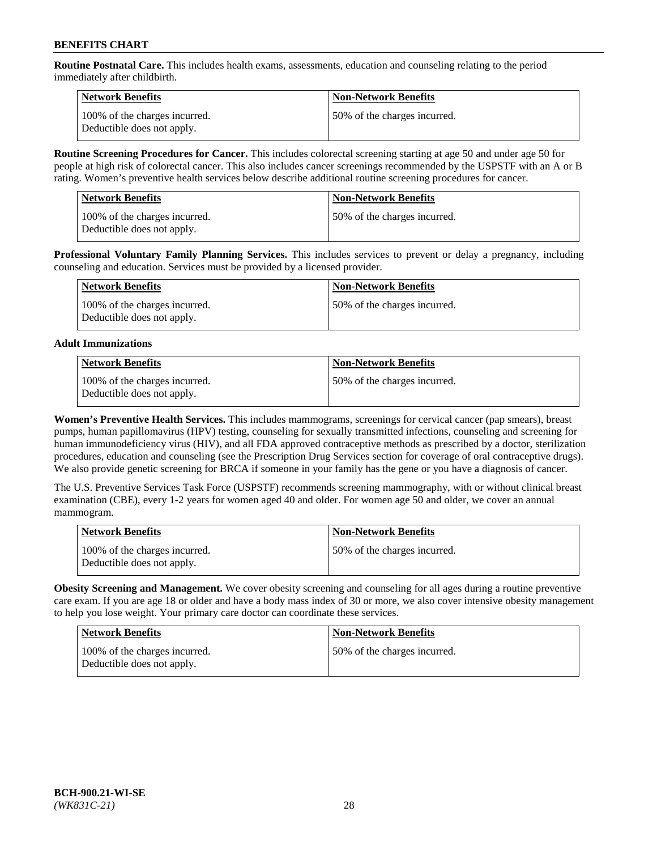**Routine Postnatal Care.** This includes health exams, assessments, education and counseling relating to the period immediately after childbirth.

| Network Benefits                                            | <b>Non-Network Benefits</b>  |
|-------------------------------------------------------------|------------------------------|
| 100% of the charges incurred.<br>Deductible does not apply. | 50% of the charges incurred. |

**Routine Screening Procedures for Cancer.** This includes colorectal screening starting at age 50 and under age 50 for people at high risk of colorectal cancer. This also includes cancer screenings recommended by the USPSTF with an A or B rating. Women's preventive health services below describe additional routine screening procedures for cancer.

| <b>Network Benefits</b>                                     | <b>Non-Network Benefits</b>  |
|-------------------------------------------------------------|------------------------------|
| 100% of the charges incurred.<br>Deductible does not apply. | 50% of the charges incurred. |

**Professional Voluntary Family Planning Services.** This includes services to prevent or delay a pregnancy, including counseling and education. Services must be provided by a licensed provider.

| Network Benefits                                            | <b>Non-Network Benefits</b>   |
|-------------------------------------------------------------|-------------------------------|
| 100% of the charges incurred.<br>Deductible does not apply. | 150% of the charges incurred. |

# **Adult Immunizations**

| Network Benefits                                            | Non-Network Benefits         |
|-------------------------------------------------------------|------------------------------|
| 100% of the charges incurred.<br>Deductible does not apply. | 50% of the charges incurred. |

**Women's Preventive Health Services.** This includes mammograms, screenings for cervical cancer (pap smears), breast pumps, human papillomavirus (HPV) testing, counseling for sexually transmitted infections, counseling and screening for human immunodeficiency virus (HIV), and all FDA approved contraceptive methods as prescribed by a doctor, sterilization procedures, education and counseling (see the Prescription Drug Services section for coverage of oral contraceptive drugs). We also provide genetic screening for BRCA if someone in your family has the gene or you have a diagnosis of cancer.

The U.S. Preventive Services Task Force (USPSTF) recommends screening mammography, with or without clinical breast examination (CBE), every 1-2 years for women aged 40 and older. For women age 50 and older, we cover an annual mammogram.

| <b>Network Benefits</b>                                     | <b>Non-Network Benefits</b>  |
|-------------------------------------------------------------|------------------------------|
| 100% of the charges incurred.<br>Deductible does not apply. | 50% of the charges incurred. |

**Obesity Screening and Management.** We cover obesity screening and counseling for all ages during a routine preventive care exam. If you are age 18 or older and have a body mass index of 30 or more, we also cover intensive obesity management to help you lose weight. Your primary care doctor can coordinate these services.

| <b>Network Benefits</b>                                     | <b>Non-Network Benefits</b>  |
|-------------------------------------------------------------|------------------------------|
| 100% of the charges incurred.<br>Deductible does not apply. | 50% of the charges incurred. |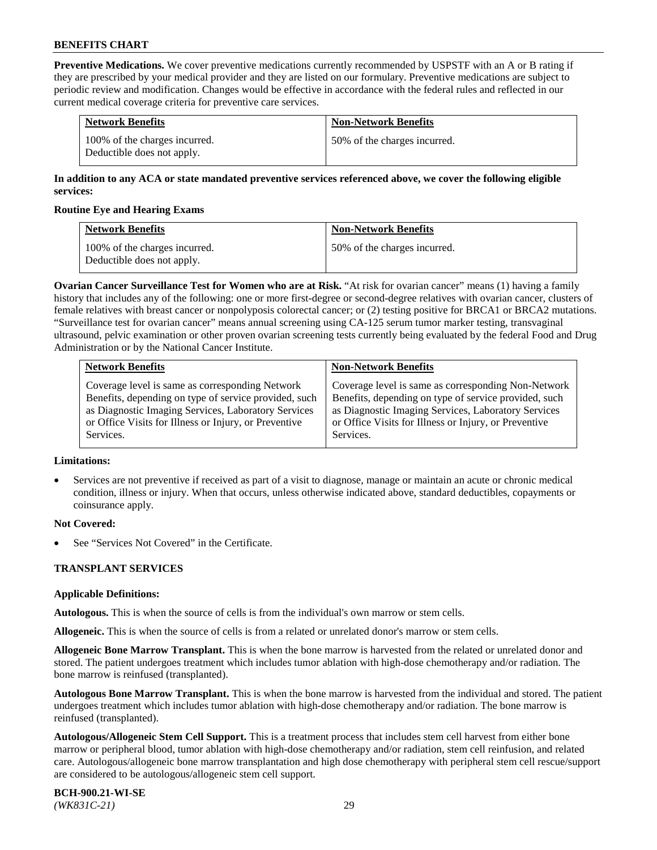**Preventive Medications.** We cover preventive medications currently recommended by USPSTF with an A or B rating if they are prescribed by your medical provider and they are listed on our formulary. Preventive medications are subject to periodic review and modification. Changes would be effective in accordance with the federal rules and reflected in our current medical coverage criteria for preventive care services.

| <b>Network Benefits</b>                                     | <b>Non-Network Benefits</b>  |
|-------------------------------------------------------------|------------------------------|
| 100% of the charges incurred.<br>Deductible does not apply. | 50% of the charges incurred. |

# **In addition to any ACA or state mandated preventive services referenced above, we cover the following eligible services:**

### **Routine Eye and Hearing Exams**

| <b>Network Benefits</b>                                     | <b>Non-Network Benefits</b>  |
|-------------------------------------------------------------|------------------------------|
| 100% of the charges incurred.<br>Deductible does not apply. | 50% of the charges incurred. |

**Ovarian Cancer Surveillance Test for Women who are at Risk.** "At risk for ovarian cancer" means (1) having a family history that includes any of the following: one or more first-degree or second-degree relatives with ovarian cancer, clusters of female relatives with breast cancer or nonpolyposis colorectal cancer; or (2) testing positive for BRCA1 or BRCA2 mutations. "Surveillance test for ovarian cancer" means annual screening using CA-125 serum tumor marker testing, transvaginal ultrasound, pelvic examination or other proven ovarian screening tests currently being evaluated by the federal Food and Drug Administration or by the National Cancer Institute.

| <b>Network Benefits</b>                               | <b>Non-Network Benefits</b>                           |
|-------------------------------------------------------|-------------------------------------------------------|
| Coverage level is same as corresponding Network       | Coverage level is same as corresponding Non-Network   |
| Benefits, depending on type of service provided, such | Benefits, depending on type of service provided, such |
| as Diagnostic Imaging Services, Laboratory Services   | as Diagnostic Imaging Services, Laboratory Services   |
| or Office Visits for Illness or Injury, or Preventive | or Office Visits for Illness or Injury, or Preventive |
| Services.                                             | Services.                                             |

#### **Limitations:**

• Services are not preventive if received as part of a visit to diagnose, manage or maintain an acute or chronic medical condition, illness or injury. When that occurs, unless otherwise indicated above, standard deductibles, copayments or coinsurance apply.

# **Not Covered:**

See "Services Not Covered" in the Certificate.

# **TRANSPLANT SERVICES**

# **Applicable Definitions:**

**Autologous.** This is when the source of cells is from the individual's own marrow or stem cells.

**Allogeneic.** This is when the source of cells is from a related or unrelated donor's marrow or stem cells.

**Allogeneic Bone Marrow Transplant.** This is when the bone marrow is harvested from the related or unrelated donor and stored. The patient undergoes treatment which includes tumor ablation with high-dose chemotherapy and/or radiation. The bone marrow is reinfused (transplanted).

**Autologous Bone Marrow Transplant.** This is when the bone marrow is harvested from the individual and stored. The patient undergoes treatment which includes tumor ablation with high-dose chemotherapy and/or radiation. The bone marrow is reinfused (transplanted).

**Autologous/Allogeneic Stem Cell Support.** This is a treatment process that includes stem cell harvest from either bone marrow or peripheral blood, tumor ablation with high-dose chemotherapy and/or radiation, stem cell reinfusion, and related care. Autologous/allogeneic bone marrow transplantation and high dose chemotherapy with peripheral stem cell rescue/support are considered to be autologous/allogeneic stem cell support.

**BCH-900.21-WI-SE**  *(WK831C-21)* 29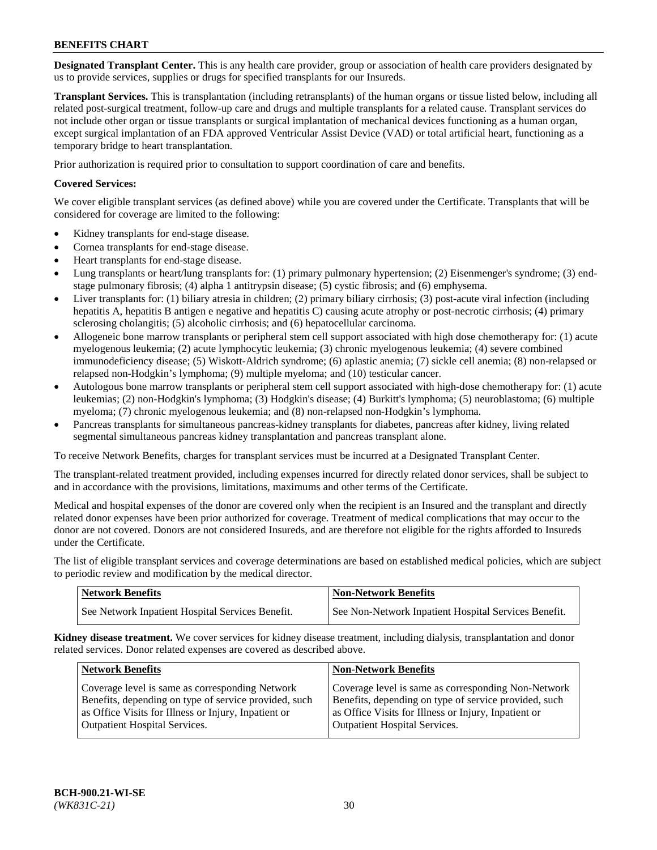**Designated Transplant Center.** This is any health care provider, group or association of health care providers designated by us to provide services, supplies or drugs for specified transplants for our Insureds.

**Transplant Services.** This is transplantation (including retransplants) of the human organs or tissue listed below, including all related post-surgical treatment, follow-up care and drugs and multiple transplants for a related cause. Transplant services do not include other organ or tissue transplants or surgical implantation of mechanical devices functioning as a human organ, except surgical implantation of an FDA approved Ventricular Assist Device (VAD) or total artificial heart, functioning as a temporary bridge to heart transplantation.

Prior authorization is required prior to consultation to support coordination of care and benefits.

# **Covered Services:**

We cover eligible transplant services (as defined above) while you are covered under the Certificate. Transplants that will be considered for coverage are limited to the following:

- Kidney transplants for end-stage disease.
- Cornea transplants for end-stage disease.
- Heart transplants for end-stage disease.
- Lung transplants or heart/lung transplants for: (1) primary pulmonary hypertension; (2) Eisenmenger's syndrome; (3) endstage pulmonary fibrosis; (4) alpha 1 antitrypsin disease; (5) cystic fibrosis; and (6) emphysema.
- Liver transplants for: (1) biliary atresia in children; (2) primary biliary cirrhosis; (3) post-acute viral infection (including hepatitis A, hepatitis B antigen e negative and hepatitis C) causing acute atrophy or post-necrotic cirrhosis; (4) primary sclerosing cholangitis; (5) alcoholic cirrhosis; and (6) hepatocellular carcinoma.
- Allogeneic bone marrow transplants or peripheral stem cell support associated with high dose chemotherapy for: (1) acute myelogenous leukemia; (2) acute lymphocytic leukemia; (3) chronic myelogenous leukemia; (4) severe combined immunodeficiency disease; (5) Wiskott-Aldrich syndrome; (6) aplastic anemia; (7) sickle cell anemia; (8) non-relapsed or relapsed non-Hodgkin's lymphoma; (9) multiple myeloma; and (10) testicular cancer.
- Autologous bone marrow transplants or peripheral stem cell support associated with high-dose chemotherapy for: (1) acute leukemias; (2) non-Hodgkin's lymphoma; (3) Hodgkin's disease; (4) Burkitt's lymphoma; (5) neuroblastoma; (6) multiple myeloma; (7) chronic myelogenous leukemia; and (8) non-relapsed non-Hodgkin's lymphoma.
- Pancreas transplants for simultaneous pancreas-kidney transplants for diabetes, pancreas after kidney, living related segmental simultaneous pancreas kidney transplantation and pancreas transplant alone.

To receive Network Benefits, charges for transplant services must be incurred at a Designated Transplant Center.

The transplant-related treatment provided, including expenses incurred for directly related donor services, shall be subject to and in accordance with the provisions, limitations, maximums and other terms of the Certificate.

Medical and hospital expenses of the donor are covered only when the recipient is an Insured and the transplant and directly related donor expenses have been prior authorized for coverage. Treatment of medical complications that may occur to the donor are not covered. Donors are not considered Insureds, and are therefore not eligible for the rights afforded to Insureds under the Certificate.

The list of eligible transplant services and coverage determinations are based on established medical policies, which are subject to periodic review and modification by the medical director.

| <b>Network Benefits</b>                          | <b>Non-Network Benefits</b>                            |
|--------------------------------------------------|--------------------------------------------------------|
| See Network Inpatient Hospital Services Benefit. | I See Non-Network Inpatient Hospital Services Benefit. |

**Kidney disease treatment.** We cover services for kidney disease treatment, including dialysis, transplantation and donor related services. Donor related expenses are covered as described above.

| <b>Network Benefits</b>                                                                                  | <b>Non-Network Benefits</b>                                                                                  |
|----------------------------------------------------------------------------------------------------------|--------------------------------------------------------------------------------------------------------------|
| Coverage level is same as corresponding Network<br>Benefits, depending on type of service provided, such | Coverage level is same as corresponding Non-Network<br>Benefits, depending on type of service provided, such |
| as Office Visits for Illness or Injury, Inpatient or<br><b>Outpatient Hospital Services.</b>             | as Office Visits for Illness or Injury, Inpatient or<br><b>Outpatient Hospital Services.</b>                 |
|                                                                                                          |                                                                                                              |